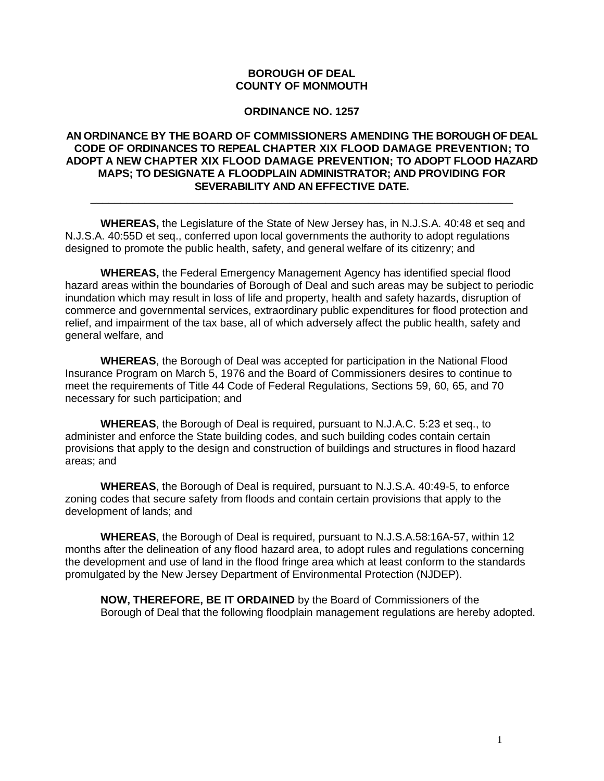### **BOROUGH OF DEAL COUNTY OF MONMOUTH**

#### **ORDINANCE NO. 1257**

### **AN ORDINANCE BY THE BOARD OF COMMISSIONERS AMENDING THE BOROUGH OF DEAL CODE OF ORDINANCES TO REPEAL CHAPTER XIX FLOOD DAMAGE PREVENTION; TO ADOPT A NEW CHAPTER XIX FLOOD DAMAGE PREVENTION; TO ADOPT FLOOD HAZARD MAPS; TO DESIGNATE A FLOODPLAIN ADMINISTRATOR; AND PROVIDING FOR SEVERABILITY AND AN EFFECTIVE DATE.**

\_\_\_\_\_\_\_\_\_\_\_\_\_\_\_\_\_\_\_\_\_\_\_\_\_\_\_\_\_\_\_\_\_\_\_\_\_\_\_\_\_\_\_\_\_\_\_\_\_\_\_\_\_\_\_\_\_\_\_\_\_\_\_\_\_\_\_\_\_\_

**WHEREAS,** the Legislature of the State of New Jersey has, in N.J.S.A. 40:48 et seq and N.J.S.A. 40:55D et seq., conferred upon local governments the authority to adopt regulations designed to promote the public health, safety, and general welfare of its citizenry; and

**WHEREAS,** the Federal Emergency Management Agency has identified special flood hazard areas within the boundaries of Borough of Deal and such areas may be subject to periodic inundation which may result in loss of life and property, health and safety hazards, disruption of commerce and governmental services, extraordinary public expenditures for flood protection and relief, and impairment of the tax base, all of which adversely affect the public health, safety and general welfare, and

**WHEREAS**, the Borough of Deal was accepted for participation in the National Flood Insurance Program on March 5, 1976 and the Board of Commissioners desires to continue to meet the requirements of Title 44 Code of Federal Regulations, Sections 59, 60, 65, and 70 necessary for such participation; and

**WHEREAS**, the Borough of Deal is required, pursuant to N.J.A.C. 5:23 et seq., to administer and enforce the State building codes, and such building codes contain certain provisions that apply to the design and construction of buildings and structures in flood hazard areas; and

**WHEREAS**, the Borough of Deal is required, pursuant to N.J.S.A. 40:49-5, to enforce zoning codes that secure safety from floods and contain certain provisions that apply to the development of lands; and

**WHEREAS**, the Borough of Deal is required, pursuant to N.J.S.A.58:16A-57, within 12 months after the delineation of any flood hazard area, to adopt rules and regulations concerning the development and use of land in the flood fringe area which at least conform to the standards promulgated by the New Jersey Department of Environmental Protection (NJDEP).

**NOW, THEREFORE, BE IT ORDAINED** by the Board of Commissioners of the Borough of Deal that the following floodplain management regulations are hereby adopted.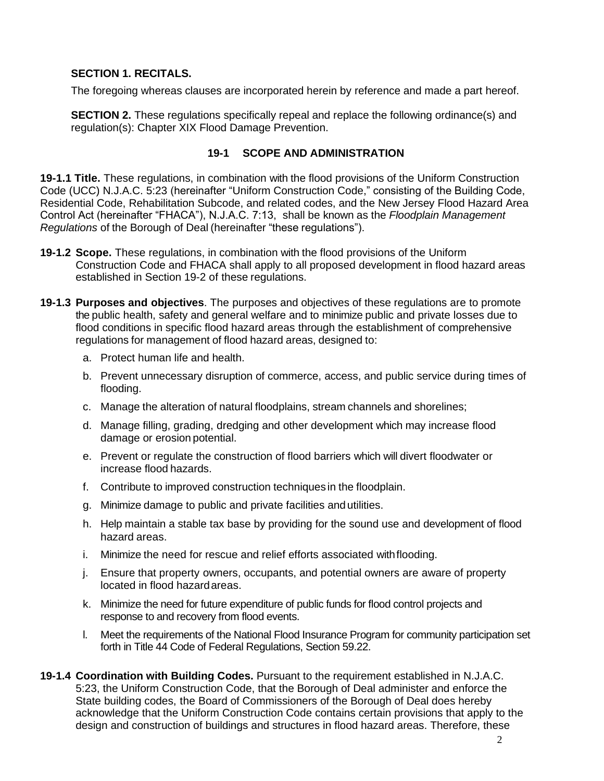## **SECTION 1. RECITALS.**

The foregoing whereas clauses are incorporated herein by reference and made a part hereof.

**SECTION 2.** These regulations specifically repeal and replace the following ordinance(s) and regulation(s): Chapter XIX Flood Damage Prevention.

# **19-1 SCOPE AND ADMINISTRATION**

**19-1.1 Title.** These regulations, in combination with the flood provisions of the Uniform Construction Code (UCC) N.J.A.C. 5:23 (hereinafter "Uniform Construction Code," consisting of the Building Code, Residential Code, Rehabilitation Subcode, and related codes, and the New Jersey Flood Hazard Area Control Act (hereinafter "FHACA"), N.J.A.C. 7:13, shall be known as the *Floodplain Management Regulations* of the Borough of Deal (hereinafter "these regulations").

- **19-1.2 Scope.** These regulations, in combination with the flood provisions of the Uniform Construction Code and FHACA shall apply to all proposed development in flood hazard areas established in Section 19-2 of these regulations.
- **19-1.3 Purposes and objectives**. The purposes and objectives of these regulations are to promote the public health, safety and general welfare and to minimize public and private losses due to flood conditions in specific flood hazard areas through the establishment of comprehensive regulations for management of flood hazard areas, designed to:
	- a. Protect human life and health.
	- b. Prevent unnecessary disruption of commerce, access, and public service during times of flooding.
	- c. Manage the alteration of natural floodplains, stream channels and shorelines;
	- d. Manage filling, grading, dredging and other development which may increase flood damage or erosion potential.
	- e. Prevent or regulate the construction of flood barriers which will divert floodwater or increase flood hazards.
	- f. Contribute to improved construction techniques in the floodplain.
	- g. Minimize damage to public and private facilities and utilities.
	- h. Help maintain a stable tax base by providing for the sound use and development of flood hazard areas.
	- i. Minimize the need for rescue and relief efforts associated withflooding.
	- j. Ensure that property owners, occupants, and potential owners are aware of property located in flood hazardareas.
	- k. Minimize the need for future expenditure of public funds for flood control projects and response to and recovery from flood events.
	- l. Meet the requirements of the National Flood Insurance Program for community participation set forth in Title 44 Code of Federal Regulations, Section 59.22.
- **19-1.4 Coordination with Building Codes.** Pursuant to the requirement established in N.J.A.C. 5:23, the Uniform Construction Code, that the Borough of Deal administer and enforce the State building codes, the Board of Commissioners of the Borough of Deal does hereby acknowledge that the Uniform Construction Code contains certain provisions that apply to the design and construction of buildings and structures in flood hazard areas. Therefore, these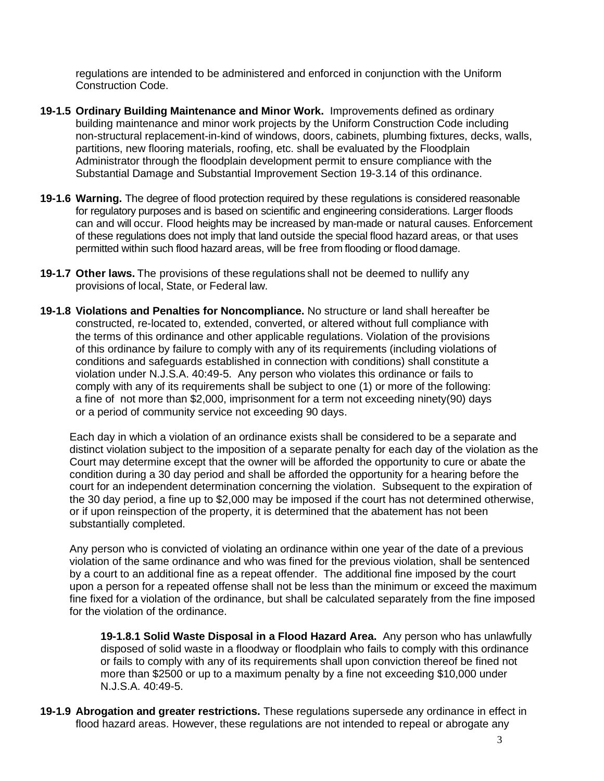regulations are intended to be administered and enforced in conjunction with the Uniform Construction Code.

- **19-1.5 Ordinary Building Maintenance and Minor Work.** Improvements defined as ordinary building maintenance and minor work projects by the Uniform Construction Code including non-structural replacement-in-kind of windows, doors, cabinets, plumbing fixtures, decks, walls, partitions, new flooring materials, roofing, etc. shall be evaluated by the Floodplain Administrator through the floodplain development permit to ensure compliance with the Substantial Damage and Substantial Improvement Section 19-3.14 of this ordinance.
- **19-1.6 Warning.** The degree of flood protection required by these regulations is considered reasonable for regulatory purposes and is based on scientific and engineering considerations. Larger floods can and will occur. Flood heights may be increased by man-made or natural causes. Enforcement of these regulations does not imply that land outside the special flood hazard areas, or that uses permitted within such flood hazard areas, will be free from flooding or flood damage.
- **19-1.7 Other laws.** The provisions of these regulations shall not be deemed to nullify any provisions of local, State, or Federal law.
- **19-1.8 Violations and Penalties for Noncompliance.** No structure or land shall hereafter be constructed, re-located to, extended, converted, or altered without full compliance with the terms of this ordinance and other applicable regulations. Violation of the provisions of this ordinance by failure to comply with any of its requirements (including violations of conditions and safeguards established in connection with conditions) shall constitute a violation under N.J.S.A. 40:49-5. Any person who violates this ordinance or fails to comply with any of its requirements shall be subject to one (1) or more of the following: a fine of not more than \$2,000, imprisonment for a term not exceeding ninety(90) days or a period of community service not exceeding 90 days.

Each day in which a violation of an ordinance exists shall be considered to be a separate and distinct violation subject to the imposition of a separate penalty for each day of the violation as the Court may determine except that the owner will be afforded the opportunity to cure or abate the condition during a 30 day period and shall be afforded the opportunity for a hearing before the court for an independent determination concerning the violation. Subsequent to the expiration of the 30 day period, a fine up to \$2,000 may be imposed if the court has not determined otherwise, or if upon reinspection of the property, it is determined that the abatement has not been substantially completed.

Any person who is convicted of violating an ordinance within one year of the date of a previous violation of the same ordinance and who was fined for the previous violation, shall be sentenced by a court to an additional fine as a repeat offender. The additional fine imposed by the court upon a person for a repeated offense shall not be less than the minimum or exceed the maximum fine fixed for a violation of the ordinance, but shall be calculated separately from the fine imposed for the violation of the ordinance.

**19-1.8.1 Solid Waste Disposal in a Flood Hazard Area.** Any person who has unlawfully disposed of solid waste in a floodway or floodplain who fails to comply with this ordinance or fails to comply with any of its requirements shall upon conviction thereof be fined not more than \$2500 or up to a maximum penalty by a fine not exceeding \$10,000 under N.J.S.A. 40:49-5.

**19-1.9 Abrogation and greater restrictions.** These regulations supersede any ordinance in effect in flood hazard areas. However, these regulations are not intended to repeal or abrogate any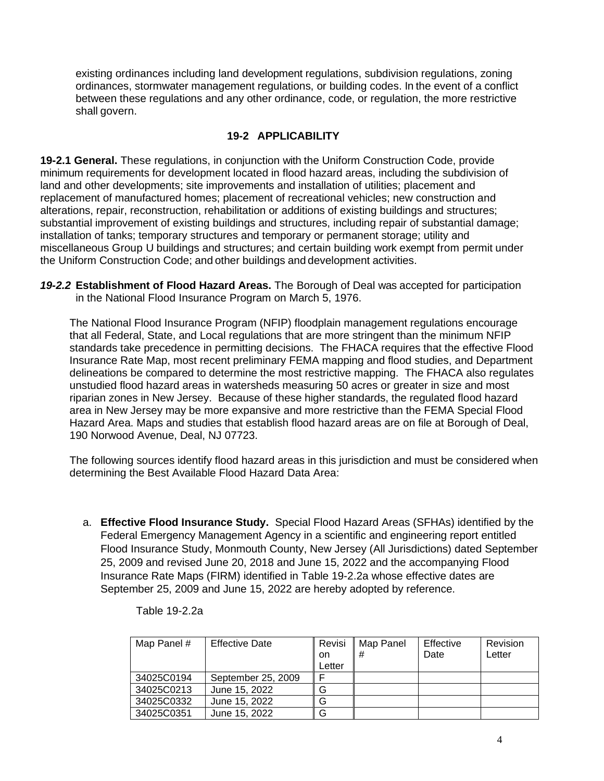existing ordinances including land development regulations, subdivision regulations, zoning ordinances, stormwater management regulations, or building codes. In the event of a conflict between these regulations and any other ordinance, code, or regulation, the more restrictive shall govern.

# **19-2 APPLICABILITY**

**19-2.1 General.** These regulations, in conjunction with the Uniform Construction Code, provide minimum requirements for development located in flood hazard areas, including the subdivision of land and other developments; site improvements and installation of utilities; placement and replacement of manufactured homes; placement of recreational vehicles; new construction and alterations, repair, reconstruction, rehabilitation or additions of existing buildings and structures; substantial improvement of existing buildings and structures, including repair of substantial damage; installation of tanks; temporary structures and temporary or permanent storage; utility and miscellaneous Group U buildings and structures; and certain building work exempt from permit under the Uniform Construction Code; and other buildings and development activities.

*19-2.2* **Establishment of Flood Hazard Areas.** The Borough of Deal was accepted for participation in the National Flood Insurance Program on March 5, 1976.

The National Flood Insurance Program (NFIP) floodplain management regulations encourage that all Federal, State, and Local regulations that are more stringent than the minimum NFIP standards take precedence in permitting decisions. The FHACA requires that the effective Flood Insurance Rate Map, most recent preliminary FEMA mapping and flood studies, and Department delineations be compared to determine the most restrictive mapping. The FHACA also regulates unstudied flood hazard areas in watersheds measuring 50 acres or greater in size and most riparian zones in New Jersey. Because of these higher standards, the regulated flood hazard area in New Jersey may be more expansive and more restrictive than the FEMA Special Flood Hazard Area. Maps and studies that establish flood hazard areas are on file at Borough of Deal, 190 Norwood Avenue, Deal, NJ 07723.

The following sources identify flood hazard areas in this jurisdiction and must be considered when determining the Best Available Flood Hazard Data Area:

a. **Effective Flood Insurance Study.** Special Flood Hazard Areas (SFHAs) identified by the Federal Emergency Management Agency in a scientific and engineering report entitled Flood Insurance Study, Monmouth County, New Jersey (All Jurisdictions) dated September 25, 2009 and revised June 20, 2018 and June 15, 2022 and the accompanying Flood Insurance Rate Maps (FIRM) identified in Table 19-2.2a whose effective dates are September 25, 2009 and June 15, 2022 are hereby adopted by reference.

| Map Panel # | <b>Effective Date</b> | Revisi<br>on<br>Letter | Map Panel<br>l # | Effective<br>Date | Revision<br>Letter |
|-------------|-----------------------|------------------------|------------------|-------------------|--------------------|
| 34025C0194  | September 25, 2009    | E                      |                  |                   |                    |
| 34025C0213  | June 15, 2022         | G                      |                  |                   |                    |
| 34025C0332  | June 15, 2022         | G                      |                  |                   |                    |
| 34025C0351  | June 15, 2022         | G                      |                  |                   |                    |

Table 19-2.2a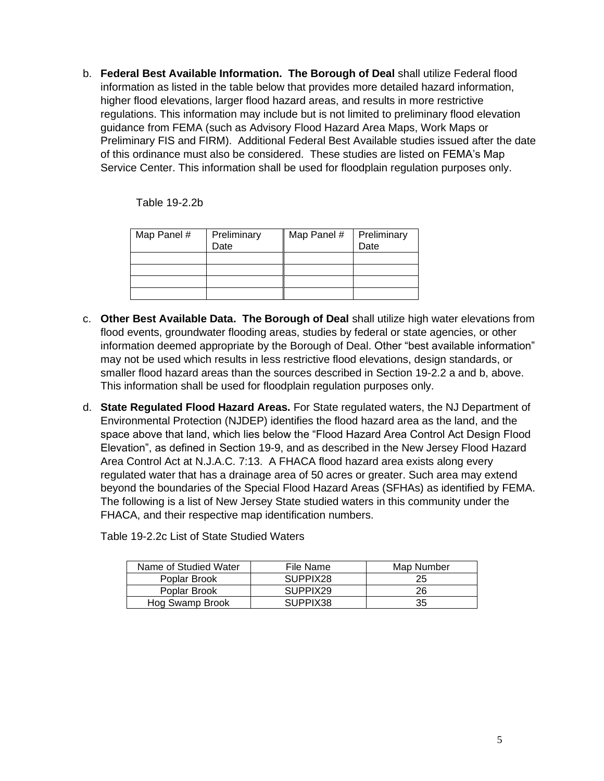b. **Federal Best Available Information. The Borough of Deal** shall utilize Federal flood information as listed in the table below that provides more detailed hazard information, higher flood elevations, larger flood hazard areas, and results in more restrictive regulations. This information may include but is not limited to preliminary flood elevation guidance from FEMA (such as Advisory Flood Hazard Area Maps, Work Maps or Preliminary FIS and FIRM). Additional Federal Best Available studies issued after the date of this ordinance must also be considered. These studies are listed on FEMA's Map Service Center. This information shall be used for floodplain regulation purposes only.

Table 19-2.2b

| Map Panel # | Preliminary<br>Date | Map Panel # | Preliminary<br>Date |
|-------------|---------------------|-------------|---------------------|
|             |                     |             |                     |
|             |                     |             |                     |
|             |                     |             |                     |
|             |                     |             |                     |

- c. **Other Best Available Data. The Borough of Deal** shall utilize high water elevations from flood events, groundwater flooding areas, studies by federal or state agencies, or other information deemed appropriate by the Borough of Deal. Other "best available information" may not be used which results in less restrictive flood elevations, design standards, or smaller flood hazard areas than the sources described in Section 19-2.2 a and b, above. This information shall be used for floodplain regulation purposes only.
- d. **State Regulated Flood Hazard Areas.** For State regulated waters, the NJ Department of Environmental Protection (NJDEP) identifies the flood hazard area as the land, and the space above that land, which lies below the "Flood Hazard Area Control Act Design Flood Elevation", as defined in Section 19-9, and as described in the New Jersey Flood Hazard Area Control Act at N.J.A.C. 7:13. A FHACA flood hazard area exists along every regulated water that has a drainage area of 50 acres or greater. Such area may extend beyond the boundaries of the Special Flood Hazard Areas (SFHAs) as identified by FEMA. The following is a list of New Jersey State studied waters in this community under the FHACA, and their respective map identification numbers.

| Name of Studied Water | File Name | Map Number |
|-----------------------|-----------|------------|
| Poplar Brook          | SUPPIX28  | 25         |
| Poplar Brook          | SUPPIX29  | 26         |
| Hog Swamp Brook       | SUPPIX38  | 35         |

Table 19-2.2c List of State Studied Waters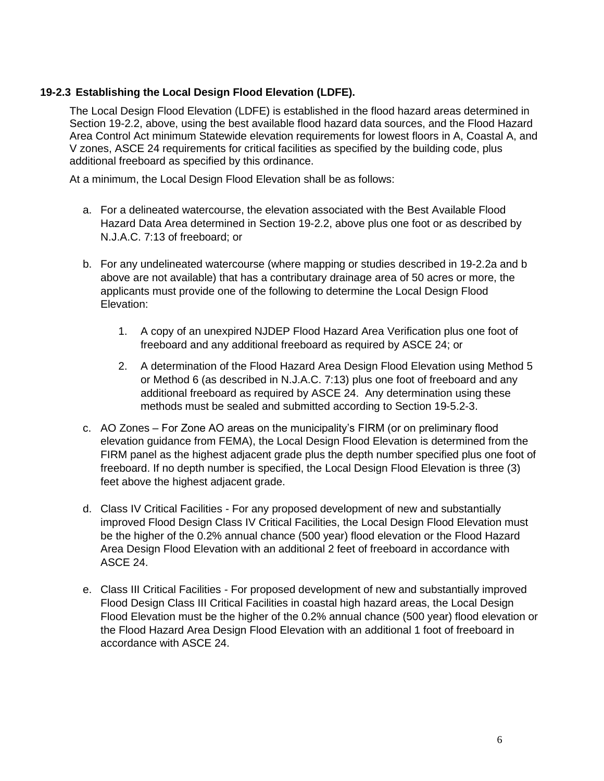# **19-2.3 Establishing the Local Design Flood Elevation (LDFE).**

The Local Design Flood Elevation (LDFE) is established in the flood hazard areas determined in Section 19-2.2, above, using the best available flood hazard data sources, and the Flood Hazard Area Control Act minimum Statewide elevation requirements for lowest floors in A, Coastal A, and V zones, ASCE 24 requirements for critical facilities as specified by the building code, plus additional freeboard as specified by this ordinance.

At a minimum, the Local Design Flood Elevation shall be as follows:

- a. For a delineated watercourse, the elevation associated with the Best Available Flood Hazard Data Area determined in Section 19-2.2, above plus one foot or as described by N.J.A.C. 7:13 of freeboard; or
- b. For any undelineated watercourse (where mapping or studies described in 19-2.2a and b above are not available) that has a contributary drainage area of 50 acres or more, the applicants must provide one of the following to determine the Local Design Flood Elevation:
	- 1. A copy of an unexpired NJDEP Flood Hazard Area Verification plus one foot of freeboard and any additional freeboard as required by ASCE 24; or
	- 2. A determination of the Flood Hazard Area Design Flood Elevation using Method 5 or Method 6 (as described in N.J.A.C. 7:13) plus one foot of freeboard and any additional freeboard as required by ASCE 24. Any determination using these methods must be sealed and submitted according to Section 19-5.2-3.
- c. AO Zones For Zone AO areas on the municipality's FIRM (or on preliminary flood elevation guidance from FEMA), the Local Design Flood Elevation is determined from the FIRM panel as the highest adjacent grade plus the depth number specified plus one foot of freeboard. If no depth number is specified, the Local Design Flood Elevation is three (3) feet above the highest adjacent grade.
- d. Class IV Critical Facilities For any proposed development of new and substantially improved Flood Design Class IV Critical Facilities, the Local Design Flood Elevation must be the higher of the 0.2% annual chance (500 year) flood elevation or the Flood Hazard Area Design Flood Elevation with an additional 2 feet of freeboard in accordance with ASCE 24.
- e. Class III Critical Facilities For proposed development of new and substantially improved Flood Design Class III Critical Facilities in coastal high hazard areas, the Local Design Flood Elevation must be the higher of the 0.2% annual chance (500 year) flood elevation or the Flood Hazard Area Design Flood Elevation with an additional 1 foot of freeboard in accordance with ASCE 24.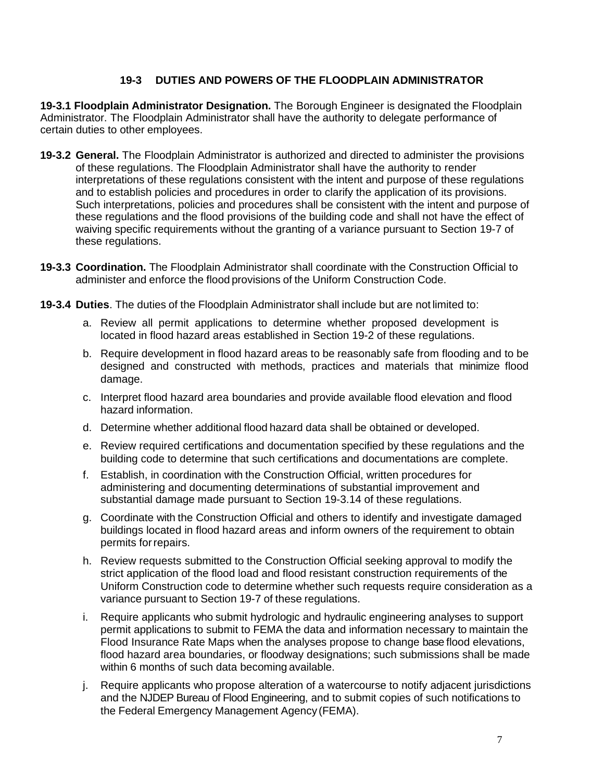# **19-3 DUTIES AND POWERS OF THE FLOODPLAIN ADMINISTRATOR**

**19-3.1 Floodplain Administrator Designation.** The Borough Engineer is designated the Floodplain Administrator. The Floodplain Administrator shall have the authority to delegate performance of certain duties to other employees.

- **19-3.2 General.** The Floodplain Administrator is authorized and directed to administer the provisions of these regulations. The Floodplain Administrator shall have the authority to render interpretations of these regulations consistent with the intent and purpose of these regulations and to establish policies and procedures in order to clarify the application of its provisions. Such interpretations, policies and procedures shall be consistent with the intent and purpose of these regulations and the flood provisions of the building code and shall not have the effect of waiving specific requirements without the granting of a variance pursuant to Section 19-7 of these regulations.
- **19-3.3 Coordination.** The Floodplain Administrator shall coordinate with the Construction Official to administer and enforce the flood provisions of the Uniform Construction Code.
- **19-3.4 Duties**. The duties of the Floodplain Administrator shall include but are not limited to:
	- a. Review all permit applications to determine whether proposed development is located in flood hazard areas established in Section 19-2 of these regulations.
	- b. Require development in flood hazard areas to be reasonably safe from flooding and to be designed and constructed with methods, practices and materials that minimize flood damage.
	- c. Interpret flood hazard area boundaries and provide available flood elevation and flood hazard information.
	- d. Determine whether additional flood hazard data shall be obtained or developed.
	- e. Review required certifications and documentation specified by these regulations and the building code to determine that such certifications and documentations are complete.
	- f. Establish, in coordination with the Construction Official, written procedures for administering and documenting determinations of substantial improvement and substantial damage made pursuant to Section 19-3.14 of these regulations.
	- g. Coordinate with the Construction Official and others to identify and investigate damaged buildings located in flood hazard areas and inform owners of the requirement to obtain permits forrepairs.
	- h. Review requests submitted to the Construction Official seeking approval to modify the strict application of the flood load and flood resistant construction requirements of the Uniform Construction code to determine whether such requests require consideration as a variance pursuant to Section 19-7 of these regulations.
	- i. Require applicants who submit hydrologic and hydraulic engineering analyses to support permit applications to submit to FEMA the data and information necessary to maintain the Flood Insurance Rate Maps when the analyses propose to change base flood elevations, flood hazard area boundaries, or floodway designations; such submissions shall be made within 6 months of such data becoming available.
	- j. Require applicants who propose alteration of a watercourse to notify adjacent jurisdictions and the NJDEP Bureau of Flood Engineering, and to submit copies of such notifications to the Federal Emergency Management Agency (FEMA).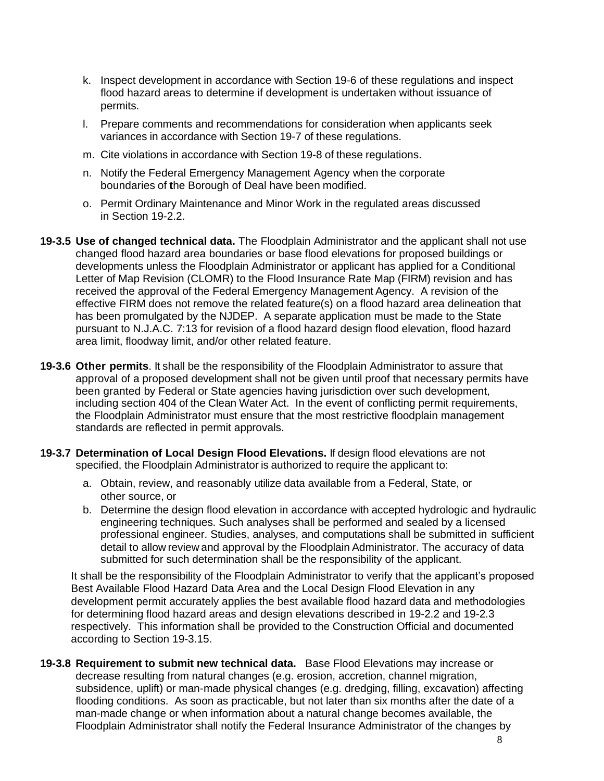- k. Inspect development in accordance with Section 19-6 of these regulations and inspect flood hazard areas to determine if development is undertaken without issuance of permits.
- l. Prepare comments and recommendations for consideration when applicants seek variances in accordance with Section 19-7 of these regulations.
- m. Cite violations in accordance with Section 19-8 of these regulations.
- n. Notify the Federal Emergency Management Agency when the corporate boundaries of **t**he Borough of Deal have been modified.
- o. Permit Ordinary Maintenance and Minor Work in the regulated areas discussed in Section 19-2.2.
- **19-3.5 Use of changed technical data.** The Floodplain Administrator and the applicant shall not use changed flood hazard area boundaries or base flood elevations for proposed buildings or developments unless the Floodplain Administrator or applicant has applied for a Conditional Letter of Map Revision (CLOMR) to the Flood Insurance Rate Map (FIRM) revision and has received the approval of the Federal Emergency Management Agency. A revision of the effective FIRM does not remove the related feature(s) on a flood hazard area delineation that has been promulgated by the NJDEP. A separate application must be made to the State pursuant to N.J.A.C. 7:13 for revision of a flood hazard design flood elevation, flood hazard area limit, floodway limit, and/or other related feature.
- **19-3.6 Other permits**. It shall be the responsibility of the Floodplain Administrator to assure that approval of a proposed development shall not be given until proof that necessary permits have been granted by Federal or State agencies having jurisdiction over such development, including section 404 of the Clean Water Act. In the event of conflicting permit requirements, the Floodplain Administrator must ensure that the most restrictive floodplain management standards are reflected in permit approvals.
- **19-3.7 Determination of Local Design Flood Elevations.** If design flood elevations are not specified, the Floodplain Administrator is authorized to require the applicant to:
	- a. Obtain, review, and reasonably utilize data available from a Federal, State, or other source, or
	- b. Determine the design flood elevation in accordance with accepted hydrologic and hydraulic engineering techniques. Such analyses shall be performed and sealed by a licensed professional engineer. Studies, analyses, and computations shall be submitted in sufficient detail to allow review and approval by the Floodplain Administrator. The accuracy of data submitted for such determination shall be the responsibility of the applicant.

It shall be the responsibility of the Floodplain Administrator to verify that the applicant's proposed Best Available Flood Hazard Data Area and the Local Design Flood Elevation in any development permit accurately applies the best available flood hazard data and methodologies for determining flood hazard areas and design elevations described in 19-2.2 and 19-2.3 respectively. This information shall be provided to the Construction Official and documented according to Section 19-3.15.

**19-3.8 Requirement to submit new technical data.** Base Flood Elevations may increase or decrease resulting from natural changes (e.g. erosion, accretion, channel migration, subsidence, uplift) or man-made physical changes (e.g. dredging, filling, excavation) affecting flooding conditions. As soon as practicable, but not later than six months after the date of a man-made change or when information about a natural change becomes available, the Floodplain Administrator shall notify the Federal Insurance Administrator of the changes by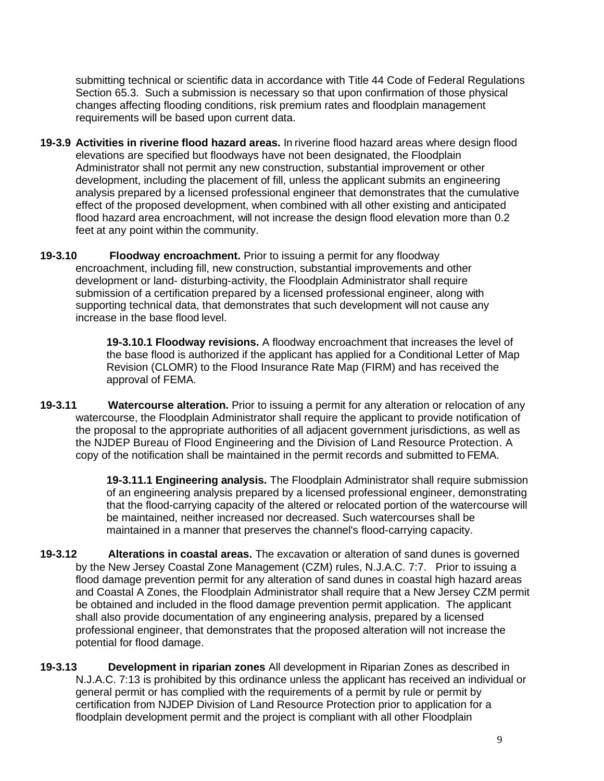submitting technical or scientific data in accordance with Title 44 Code of Federal Regulations Section 65.3. Such a submission is necessary so that upon confirmation of those physical changes affecting flooding conditions, risk premium rates and floodplain management requirements will be based upon current data.

- **19-3.9 Activities in riverine flood hazard areas.** In riverine flood hazard areas where design flood elevations are specified but floodways have not been designated, the Floodplain Administrator shall not permit any new construction, substantial improvement or other development, including the placement of fill, unless the applicant submits an engineering analysis prepared by a licensed professional engineer that demonstrates that the cumulative effect of the proposed development, when combined with all other existing and anticipated flood hazard area encroachment, will not increase the design flood elevation more than 0.2 feet at any point within the community.
- **19-3.10 Floodway encroachment.** Prior to issuing a permit for any floodway encroachment, including fill, new construction, substantial improvements and other development or land- disturbing-activity, the Floodplain Administrator shall require submission of a certification prepared by a licensed professional engineer, along with supporting technical data, that demonstrates that such development will not cause any increase in the base flood level.

**19-3.10.1 Floodway revisions.** A floodway encroachment that increases the level of the base flood is authorized if the applicant has applied for a Conditional Letter of Map Revision (CLOMR) to the Flood Insurance Rate Map (FIRM) and has received the approval of FEMA.

**19-3.11 Watercourse alteration.** Prior to issuing a permit for any alteration or relocation of any watercourse, the Floodplain Administrator shall require the applicant to provide notification of the proposal to the appropriate authorities of all adjacent government jurisdictions, as well as the NJDEP Bureau of Flood Engineering and the Division of Land Resource Protection. A copy of the notification shall be maintained in the permit records and submitted to FEMA.

> **19-3.11.1 Engineering analysis.** The Floodplain Administrator shall require submission of an engineering analysis prepared by a licensed professional engineer, demonstrating that the flood-carrying capacity of the altered or relocated portion of the watercourse will be maintained, neither increased nor decreased. Such watercourses shall be maintained in a manner that preserves the channel's flood-carrying capacity.

- **19-3.12 Alterations in coastal areas.** The excavation or alteration of sand dunes is governed by the New Jersey Coastal Zone Management (CZM) rules, N.J.A.C. 7:7. Prior to issuing a flood damage prevention permit for any alteration of sand dunes in coastal high hazard areas and Coastal A Zones, the Floodplain Administrator shall require that a New Jersey CZM permit be obtained and included in the flood damage prevention permit application. The applicant shall also provide documentation of any engineering analysis, prepared by a licensed professional engineer, that demonstrates that the proposed alteration will not increase the potential for flood damage.
- **19-3.13 Development in riparian zones** All development in Riparian Zones as described in N.J.A.C. 7:13 is prohibited by this ordinance unless the applicant has received an individual or general permit or has complied with the requirements of a permit by rule or permit by certification from NJDEP Division of Land Resource Protection prior to application for a floodplain development permit and the project is compliant with all other Floodplain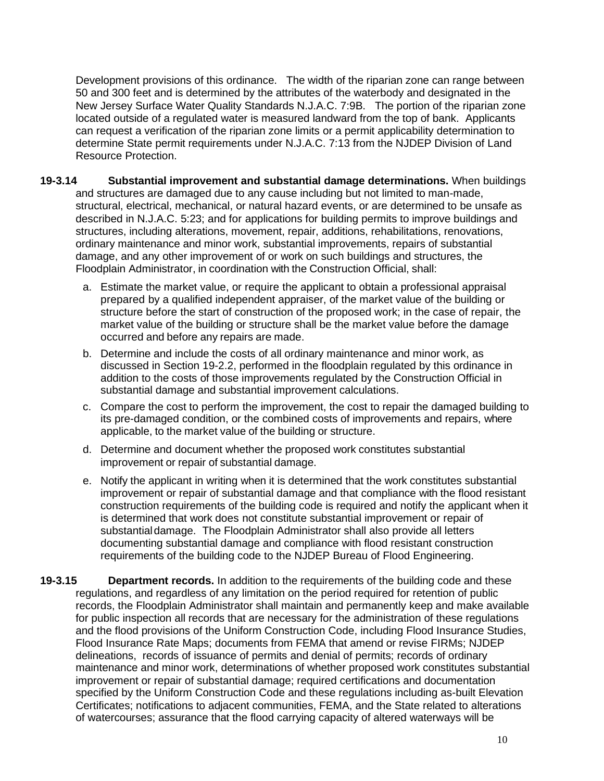Development provisions of this ordinance. The width of the riparian zone can range between 50 and 300 feet and is determined by the attributes of the waterbody and designated in the New Jersey Surface Water Quality Standards N.J.A.C. 7:9B. The portion of the riparian zone located outside of a regulated water is measured landward from the top of bank. Applicants can request a verification of the riparian zone limits or a permit applicability determination to determine State permit requirements under N.J.A.C. 7:13 from the NJDEP Division of Land Resource Protection.

- **19-3.14 Substantial improvement and substantial damage determinations.** When buildings and structures are damaged due to any cause including but not limited to man-made, structural, electrical, mechanical, or natural hazard events, or are determined to be unsafe as described in N.J.A.C. 5:23; and for applications for building permits to improve buildings and structures, including alterations, movement, repair, additions, rehabilitations, renovations, ordinary maintenance and minor work, substantial improvements, repairs of substantial damage, and any other improvement of or work on such buildings and structures, the Floodplain Administrator, in coordination with the Construction Official, shall:
	- a. Estimate the market value, or require the applicant to obtain a professional appraisal prepared by a qualified independent appraiser, of the market value of the building or structure before the start of construction of the proposed work; in the case of repair, the market value of the building or structure shall be the market value before the damage occurred and before any repairs are made.
	- b. Determine and include the costs of all ordinary maintenance and minor work, as discussed in Section 19-2.2, performed in the floodplain regulated by this ordinance in addition to the costs of those improvements regulated by the Construction Official in substantial damage and substantial improvement calculations.
	- c. Compare the cost to perform the improvement, the cost to repair the damaged building to its pre-damaged condition, or the combined costs of improvements and repairs, where applicable, to the market value of the building or structure.
	- d. Determine and document whether the proposed work constitutes substantial improvement or repair of substantial damage.
	- e. Notify the applicant in writing when it is determined that the work constitutes substantial improvement or repair of substantial damage and that compliance with the flood resistant construction requirements of the building code is required and notify the applicant when it is determined that work does not constitute substantial improvement or repair of substantialdamage. The Floodplain Administrator shall also provide all letters documenting substantial damage and compliance with flood resistant construction requirements of the building code to the NJDEP Bureau of Flood Engineering.
- **19-3.15 Department records.** In addition to the requirements of the building code and these regulations, and regardless of any limitation on the period required for retention of public records, the Floodplain Administrator shall maintain and permanently keep and make available for public inspection all records that are necessary for the administration of these regulations and the flood provisions of the Uniform Construction Code, including Flood Insurance Studies, Flood Insurance Rate Maps; documents from FEMA that amend or revise FIRMs; NJDEP delineations, records of issuance of permits and denial of permits; records of ordinary maintenance and minor work, determinations of whether proposed work constitutes substantial improvement or repair of substantial damage; required certifications and documentation specified by the Uniform Construction Code and these regulations including as-built Elevation Certificates; notifications to adjacent communities, FEMA, and the State related to alterations of watercourses; assurance that the flood carrying capacity of altered waterways will be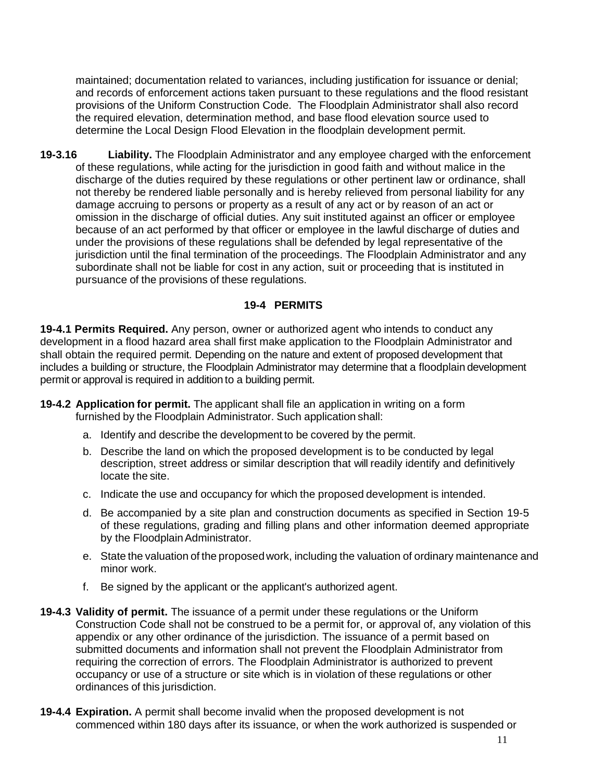maintained; documentation related to variances, including justification for issuance or denial; and records of enforcement actions taken pursuant to these regulations and the flood resistant provisions of the Uniform Construction Code. The Floodplain Administrator shall also record the required elevation, determination method, and base flood elevation source used to determine the Local Design Flood Elevation in the floodplain development permit.

**19-3.16 Liability.** The Floodplain Administrator and any employee charged with the enforcement of these regulations, while acting for the jurisdiction in good faith and without malice in the discharge of the duties required by these regulations or other pertinent law or ordinance, shall not thereby be rendered liable personally and is hereby relieved from personal liability for any damage accruing to persons or property as a result of any act or by reason of an act or omission in the discharge of official duties. Any suit instituted against an officer or employee because of an act performed by that officer or employee in the lawful discharge of duties and under the provisions of these regulations shall be defended by legal representative of the jurisdiction until the final termination of the proceedings. The Floodplain Administrator and any subordinate shall not be liable for cost in any action, suit or proceeding that is instituted in pursuance of the provisions of these regulations.

## **19-4 PERMITS**

**19-4.1 Permits Required.** Any person, owner or authorized agent who intends to conduct any development in a flood hazard area shall first make application to the Floodplain Administrator and shall obtain the required permit. Depending on the nature and extent of proposed development that includes a building or structure, the Floodplain Administrator may determine that a floodplain development permit or approval is required in addition to a building permit.

- **19-4.2 Application for permit.** The applicant shall file an application in writing on a form furnished by the Floodplain Administrator. Such application shall:
	- a. Identify and describe the development to be covered by the permit.
	- b. Describe the land on which the proposed development is to be conducted by legal description, street address or similar description that will readily identify and definitively locate the site.
	- c. Indicate the use and occupancy for which the proposed development is intended.
	- d. Be accompanied by a site plan and construction documents as specified in Section 19-5 of these regulations, grading and filling plans and other information deemed appropriate by the Floodplain Administrator.
	- e. State the valuation of the proposed work, including the valuation of ordinary maintenance and minor work.
	- f. Be signed by the applicant or the applicant's authorized agent.
- **19-4.3 Validity of permit.** The issuance of a permit under these regulations or the Uniform Construction Code shall not be construed to be a permit for, or approval of, any violation of this appendix or any other ordinance of the jurisdiction. The issuance of a permit based on submitted documents and information shall not prevent the Floodplain Administrator from requiring the correction of errors. The Floodplain Administrator is authorized to prevent occupancy or use of a structure or site which is in violation of these regulations or other ordinances of this jurisdiction.
- **19-4.4 Expiration.** A permit shall become invalid when the proposed development is not commenced within 180 days after its issuance, or when the work authorized is suspended or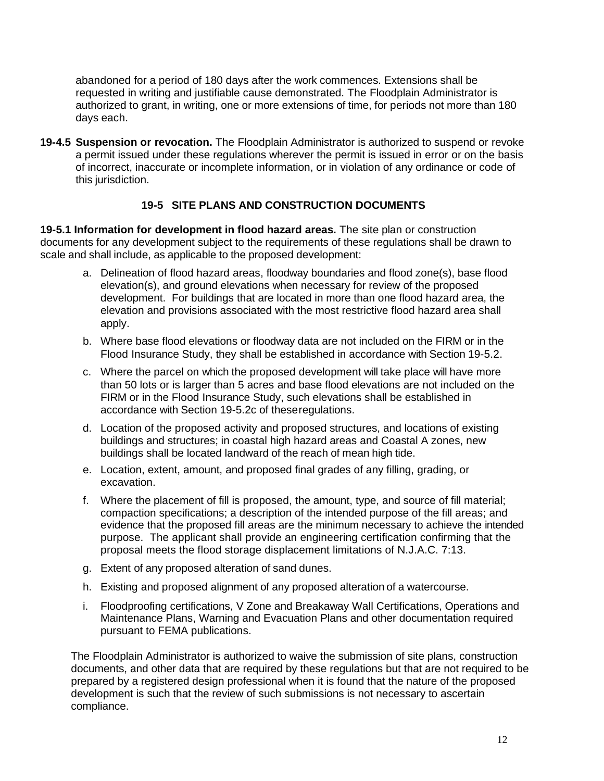abandoned for a period of 180 days after the work commences. Extensions shall be requested in writing and justifiable cause demonstrated. The Floodplain Administrator is authorized to grant, in writing, one or more extensions of time, for periods not more than 180 days each.

**19-4.5 Suspension or revocation.** The Floodplain Administrator is authorized to suspend or revoke a permit issued under these regulations wherever the permit is issued in error or on the basis of incorrect, inaccurate or incomplete information, or in violation of any ordinance or code of this jurisdiction.

# **19-5 SITE PLANS AND CONSTRUCTION DOCUMENTS**

**19-5.1 Information for development in flood hazard areas.** The site plan or construction documents for any development subject to the requirements of these regulations shall be drawn to scale and shall include, as applicable to the proposed development:

- a. Delineation of flood hazard areas, floodway boundaries and flood zone(s), base flood elevation(s), and ground elevations when necessary for review of the proposed development. For buildings that are located in more than one flood hazard area, the elevation and provisions associated with the most restrictive flood hazard area shall apply.
- b. Where base flood elevations or floodway data are not included on the FIRM or in the Flood Insurance Study, they shall be established in accordance with Section 19-5.2.
- c. Where the parcel on which the proposed development will take place will have more than 50 lots or is larger than 5 acres and base flood elevations are not included on the FIRM or in the Flood Insurance Study, such elevations shall be established in accordance with Section 19-5.2c of theseregulations.
- d. Location of the proposed activity and proposed structures, and locations of existing buildings and structures; in coastal high hazard areas and Coastal A zones, new buildings shall be located landward of the reach of mean high tide.
- e. Location, extent, amount, and proposed final grades of any filling, grading, or excavation.
- f. Where the placement of fill is proposed, the amount, type, and source of fill material; compaction specifications; a description of the intended purpose of the fill areas; and evidence that the proposed fill areas are the minimum necessary to achieve the intended purpose. The applicant shall provide an engineering certification confirming that the proposal meets the flood storage displacement limitations of N.J.A.C. 7:13.
- g. Extent of any proposed alteration of sand dunes.
- h. Existing and proposed alignment of any proposed alteration of a watercourse.
- i. Floodproofing certifications, V Zone and Breakaway Wall Certifications, Operations and Maintenance Plans, Warning and Evacuation Plans and other documentation required pursuant to FEMA publications.

The Floodplain Administrator is authorized to waive the submission of site plans, construction documents, and other data that are required by these regulations but that are not required to be prepared by a registered design professional when it is found that the nature of the proposed development is such that the review of such submissions is not necessary to ascertain compliance.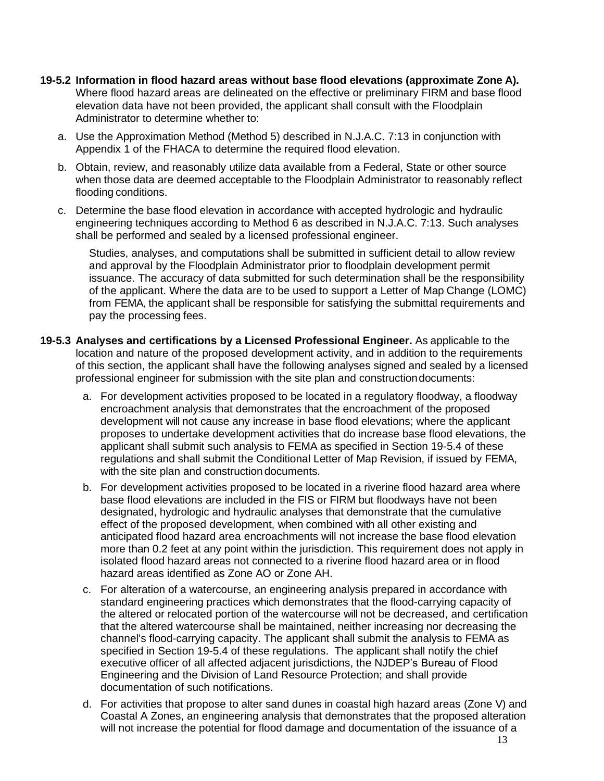- **19-5.2 Information in flood hazard areas without base flood elevations (approximate Zone A).**  Where flood hazard areas are delineated on the effective or preliminary FIRM and base flood elevation data have not been provided, the applicant shall consult with the Floodplain Administrator to determine whether to:
	- a. Use the Approximation Method (Method 5) described in N.J.A.C. 7:13 in conjunction with Appendix 1 of the FHACA to determine the required flood elevation.
	- b. Obtain, review, and reasonably utilize data available from a Federal, State or other source when those data are deemed acceptable to the Floodplain Administrator to reasonably reflect flooding conditions.
	- c. Determine the base flood elevation in accordance with accepted hydrologic and hydraulic engineering techniques according to Method 6 as described in N.J.A.C. 7:13. Such analyses shall be performed and sealed by a licensed professional engineer.

Studies, analyses, and computations shall be submitted in sufficient detail to allow review and approval by the Floodplain Administrator prior to floodplain development permit issuance. The accuracy of data submitted for such determination shall be the responsibility of the applicant. Where the data are to be used to support a Letter of Map Change (LOMC) from FEMA, the applicant shall be responsible for satisfying the submittal requirements and pay the processing fees.

- **19-5.3 Analyses and certifications by a Licensed Professional Engineer.** As applicable to the location and nature of the proposed development activity, and in addition to the requirements of this section, the applicant shall have the following analyses signed and sealed by a licensed professional engineer for submission with the site plan and constructiondocuments:
	- a. For development activities proposed to be located in a regulatory floodway, a floodway encroachment analysis that demonstrates that the encroachment of the proposed development will not cause any increase in base flood elevations; where the applicant proposes to undertake development activities that do increase base flood elevations, the applicant shall submit such analysis to FEMA as specified in Section 19-5.4 of these regulations and shall submit the Conditional Letter of Map Revision, if issued by FEMA, with the site plan and construction documents.
	- b. For development activities proposed to be located in a riverine flood hazard area where base flood elevations are included in the FIS or FIRM but floodways have not been designated, hydrologic and hydraulic analyses that demonstrate that the cumulative effect of the proposed development, when combined with all other existing and anticipated flood hazard area encroachments will not increase the base flood elevation more than 0.2 feet at any point within the jurisdiction. This requirement does not apply in isolated flood hazard areas not connected to a riverine flood hazard area or in flood hazard areas identified as Zone AO or Zone AH.
	- c. For alteration of a watercourse, an engineering analysis prepared in accordance with standard engineering practices which demonstrates that the flood-carrying capacity of the altered or relocated portion of the watercourse will not be decreased, and certification that the altered watercourse shall be maintained, neither increasing nor decreasing the channel's flood-carrying capacity. The applicant shall submit the analysis to FEMA as specified in Section 19-5.4 of these regulations. The applicant shall notify the chief executive officer of all affected adjacent jurisdictions, the NJDEP's Bureau of Flood Engineering and the Division of Land Resource Protection; and shall provide documentation of such notifications.
	- d. For activities that propose to alter sand dunes in coastal high hazard areas (Zone V) and Coastal A Zones, an engineering analysis that demonstrates that the proposed alteration will not increase the potential for flood damage and documentation of the issuance of a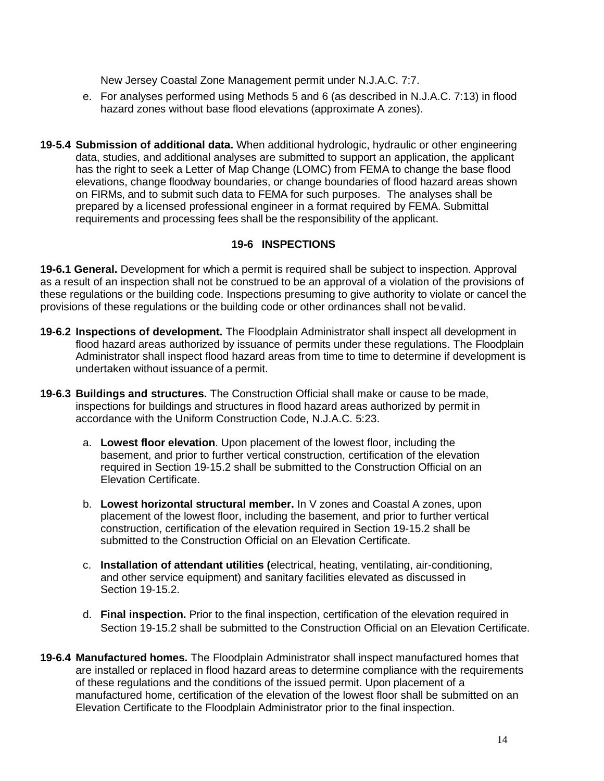New Jersey Coastal Zone Management permit under N.J.A.C. 7:7.

- e. For analyses performed using Methods 5 and 6 (as described in N.J.A.C. 7:13) in flood hazard zones without base flood elevations (approximate A zones).
- **19-5.4 Submission of additional data.** When additional hydrologic, hydraulic or other engineering data, studies, and additional analyses are submitted to support an application, the applicant has the right to seek a Letter of Map Change (LOMC) from FEMA to change the base flood elevations, change floodway boundaries, or change boundaries of flood hazard areas shown on FIRMs, and to submit such data to FEMA for such purposes. The analyses shall be prepared by a licensed professional engineer in a format required by FEMA. Submittal requirements and processing fees shall be the responsibility of the applicant.

## **19-6 INSPECTIONS**

**19-6.1 General.** Development for which a permit is required shall be subject to inspection. Approval as a result of an inspection shall not be construed to be an approval of a violation of the provisions of these regulations or the building code. Inspections presuming to give authority to violate or cancel the provisions of these regulations or the building code or other ordinances shall not bevalid.

- **19-6.2 Inspections of development.** The Floodplain Administrator shall inspect all development in flood hazard areas authorized by issuance of permits under these regulations. The Floodplain Administrator shall inspect flood hazard areas from time to time to determine if development is undertaken without issuance of a permit.
- **19-6.3 Buildings and structures.** The Construction Official shall make or cause to be made, inspections for buildings and structures in flood hazard areas authorized by permit in accordance with the Uniform Construction Code, N.J.A.C. 5:23.
	- a. **Lowest floor elevation**. Upon placement of the lowest floor, including the basement, and prior to further vertical construction, certification of the elevation required in Section 19-15.2 shall be submitted to the Construction Official on an Elevation Certificate.
	- b. **Lowest horizontal structural member.** In V zones and Coastal A zones, upon placement of the lowest floor, including the basement, and prior to further vertical construction, certification of the elevation required in Section 19-15.2 shall be submitted to the Construction Official on an Elevation Certificate.
	- c. **Installation of attendant utilities (**electrical, heating, ventilating, air-conditioning, and other service equipment) and sanitary facilities elevated as discussed in Section 19-15.2.
	- d. **Final inspection.** Prior to the final inspection, certification of the elevation required in Section 19-15.2 shall be submitted to the Construction Official on an Elevation Certificate.
- **19-6.4 Manufactured homes.** The Floodplain Administrator shall inspect manufactured homes that are installed or replaced in flood hazard areas to determine compliance with the requirements of these regulations and the conditions of the issued permit. Upon placement of a manufactured home, certification of the elevation of the lowest floor shall be submitted on an Elevation Certificate to the Floodplain Administrator prior to the final inspection.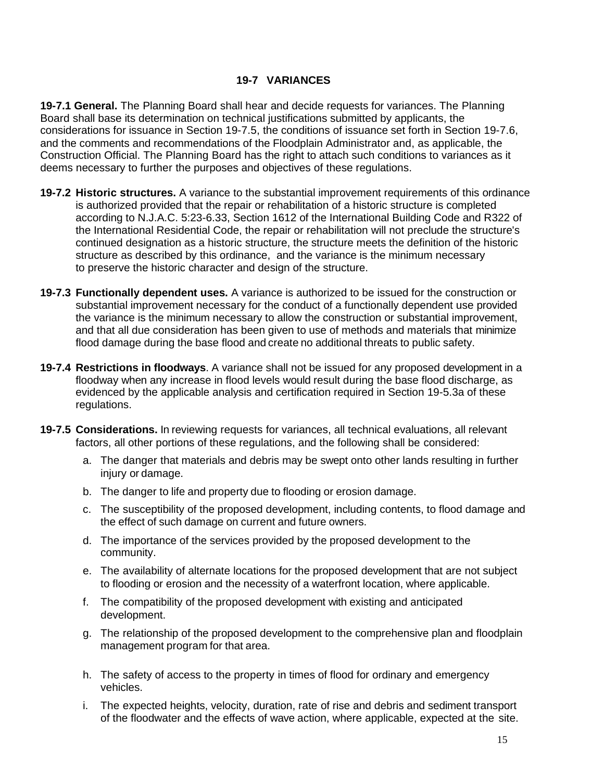## **19-7 VARIANCES**

**19-7.1 General.** The Planning Board shall hear and decide requests for variances. The Planning Board shall base its determination on technical justifications submitted by applicants, the considerations for issuance in Section 19-7.5, the conditions of issuance set forth in Section 19-7.6, and the comments and recommendations of the Floodplain Administrator and, as applicable, the Construction Official. The Planning Board has the right to attach such conditions to variances as it deems necessary to further the purposes and objectives of these regulations.

- **19-7.2 Historic structures.** A variance to the substantial improvement requirements of this ordinance is authorized provided that the repair or rehabilitation of a historic structure is completed according to N.J.A.C. 5:23-6.33, Section 1612 of the International Building Code and R322 of the International Residential Code, the repair or rehabilitation will not preclude the structure's continued designation as a historic structure, the structure meets the definition of the historic structure as described by this ordinance, and the variance is the minimum necessary to preserve the historic character and design of the structure.
- **19-7.3 Functionally dependent uses.** A variance is authorized to be issued for the construction or substantial improvement necessary for the conduct of a functionally dependent use provided the variance is the minimum necessary to allow the construction or substantial improvement, and that all due consideration has been given to use of methods and materials that minimize flood damage during the base flood and create no additional threats to public safety.
- **19-7.4 Restrictions in floodways**. A variance shall not be issued for any proposed development in a floodway when any increase in flood levels would result during the base flood discharge, as evidenced by the applicable analysis and certification required in Section 19-5.3a of these regulations.
- **19-7.5 Considerations.** In reviewing requests for variances, all technical evaluations, all relevant factors, all other portions of these regulations, and the following shall be considered:
	- a. The danger that materials and debris may be swept onto other lands resulting in further iniury or damage.
	- b. The danger to life and property due to flooding or erosion damage.
	- c. The susceptibility of the proposed development, including contents, to flood damage and the effect of such damage on current and future owners.
	- d. The importance of the services provided by the proposed development to the community.
	- e. The availability of alternate locations for the proposed development that are not subject to flooding or erosion and the necessity of a waterfront location, where applicable.
	- f. The compatibility of the proposed development with existing and anticipated development.
	- g. The relationship of the proposed development to the comprehensive plan and floodplain management program for that area.
	- h. The safety of access to the property in times of flood for ordinary and emergency vehicles.
	- i. The expected heights, velocity, duration, rate of rise and debris and sediment transport of the floodwater and the effects of wave action, where applicable, expected at the site.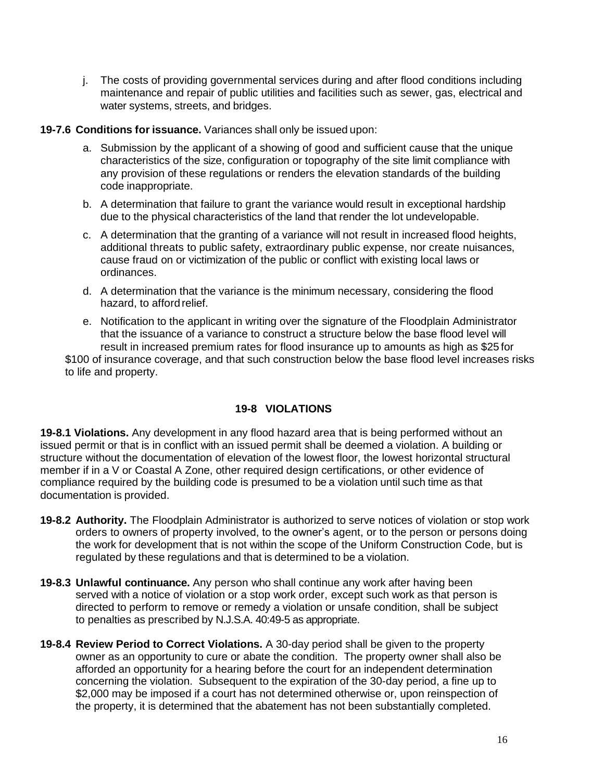j. The costs of providing governmental services during and after flood conditions including maintenance and repair of public utilities and facilities such as sewer, gas, electrical and water systems, streets, and bridges.

#### **19-7.6 Conditions for issuance.** Variances shall only be issued upon:

- a. Submission by the applicant of a showing of good and sufficient cause that the unique characteristics of the size, configuration or topography of the site limit compliance with any provision of these regulations or renders the elevation standards of the building code inappropriate.
- b. A determination that failure to grant the variance would result in exceptional hardship due to the physical characteristics of the land that render the lot undevelopable.
- c. A determination that the granting of a variance will not result in increased flood heights, additional threats to public safety, extraordinary public expense, nor create nuisances, cause fraud on or victimization of the public or conflict with existing local laws or ordinances.
- d. A determination that the variance is the minimum necessary, considering the flood hazard, to afford relief.
- e. Notification to the applicant in writing over the signature of the Floodplain Administrator that the issuance of a variance to construct a structure below the base flood level will result in increased premium rates for flood insurance up to amounts as high as \$25 for \$100 of insurance coverage, and that such construction below the base flood level increases risks to life and property.

# **19-8 VIOLATIONS**

**19-8.1 Violations.** Any development in any flood hazard area that is being performed without an issued permit or that is in conflict with an issued permit shall be deemed a violation. A building or structure without the documentation of elevation of the lowest floor, the lowest horizontal structural member if in a V or Coastal A Zone, other required design certifications, or other evidence of compliance required by the building code is presumed to be a violation until such time as that documentation is provided.

- **19-8.2 Authority.** The Floodplain Administrator is authorized to serve notices of violation or stop work orders to owners of property involved, to the owner's agent, or to the person or persons doing the work for development that is not within the scope of the Uniform Construction Code, but is regulated by these regulations and that is determined to be a violation.
- **19-8.3 Unlawful continuance.** Any person who shall continue any work after having been served with a notice of violation or a stop work order, except such work as that person is directed to perform to remove or remedy a violation or unsafe condition, shall be subject to penalties as prescribed by N.J.S.A. 40:49-5 as appropriate.
- **19-8.4 Review Period to Correct Violations.** A 30-day period shall be given to the property owner as an opportunity to cure or abate the condition. The property owner shall also be afforded an opportunity for a hearing before the court for an independent determination concerning the violation. Subsequent to the expiration of the 30-day period, a fine up to \$2,000 may be imposed if a court has not determined otherwise or, upon reinspection of the property, it is determined that the abatement has not been substantially completed.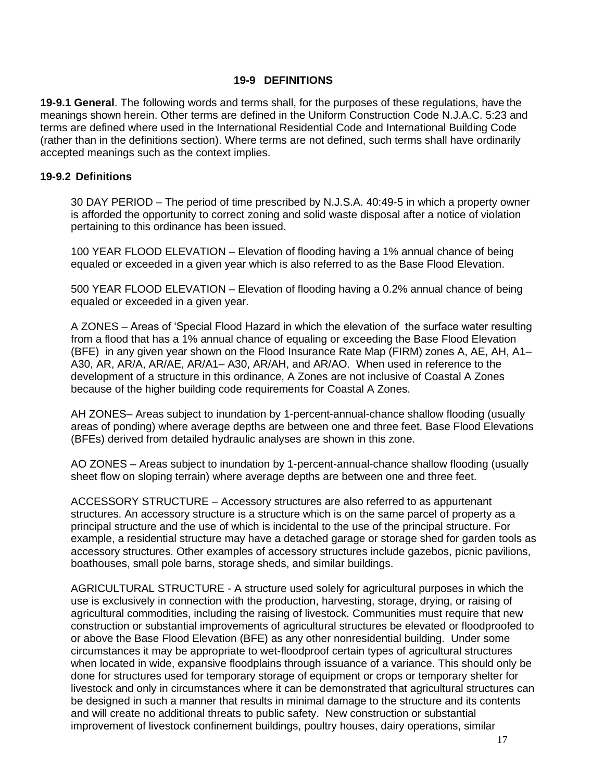### **19-9 DEFINITIONS**

**19-9.1 General**. The following words and terms shall, for the purposes of these regulations, have the meanings shown herein. Other terms are defined in the Uniform Construction Code N.J.A.C. 5:23 and terms are defined where used in the International Residential Code and International Building Code (rather than in the definitions section). Where terms are not defined, such terms shall have ordinarily accepted meanings such as the context implies.

### **19-9.2 Definitions**

30 DAY PERIOD – The period of time prescribed by N.J.S.A. 40:49-5 in which a property owner is afforded the opportunity to correct zoning and solid waste disposal after a notice of violation pertaining to this ordinance has been issued.

100 YEAR FLOOD ELEVATION – Elevation of flooding having a 1% annual chance of being equaled or exceeded in a given year which is also referred to as the Base Flood Elevation.

500 YEAR FLOOD ELEVATION – Elevation of flooding having a 0.2% annual chance of being equaled or exceeded in a given year.

A ZONES – Areas of 'Special Flood Hazard in which the elevation of the surface water resulting from a flood that has a 1% annual chance of equaling or exceeding the Base Flood Elevation (BFE) in any given year shown on the Flood Insurance Rate Map (FIRM) zones A, AE, AH, A1– A30, AR, AR/A, AR/AE, AR/A1– A30, AR/AH, and AR/AO. When used in reference to the development of a structure in this ordinance, A Zones are not inclusive of Coastal A Zones because of the higher building code requirements for Coastal A Zones.

AH ZONES– Areas subject to inundation by 1-percent-annual-chance shallow flooding (usually areas of ponding) where average depths are between one and three feet. Base Flood Elevations (BFEs) derived from detailed hydraulic analyses are shown in this zone.

AO ZONES – Areas subject to inundation by 1-percent-annual-chance shallow flooding (usually sheet flow on sloping terrain) where average depths are between one and three feet.

ACCESSORY STRUCTURE – Accessory structures are also referred to as appurtenant structures. An accessory structure is a structure which is on the same parcel of property as a principal structure and the use of which is incidental to the use of the principal structure. For example, a residential structure may have a detached garage or storage shed for garden tools as accessory structures. Other examples of accessory structures include gazebos, picnic pavilions, boathouses, small pole barns, storage sheds, and similar buildings.

AGRICULTURAL STRUCTURE - A structure used solely for agricultural purposes in which the use is exclusively in connection with the production, harvesting, storage, drying, or raising of agricultural commodities, including the raising of livestock. Communities must require that new construction or substantial improvements of agricultural structures be elevated or floodproofed to or above the Base Flood Elevation (BFE) as any other nonresidential building. Under some circumstances it may be appropriate to wet-floodproof certain types of agricultural structures when located in wide, expansive floodplains through issuance of a variance. This should only be done for structures used for temporary storage of equipment or crops or temporary shelter for livestock and only in circumstances where it can be demonstrated that agricultural structures can be designed in such a manner that results in minimal damage to the structure and its contents and will create no additional threats to public safety. New construction or substantial improvement of livestock confinement buildings, poultry houses, dairy operations, similar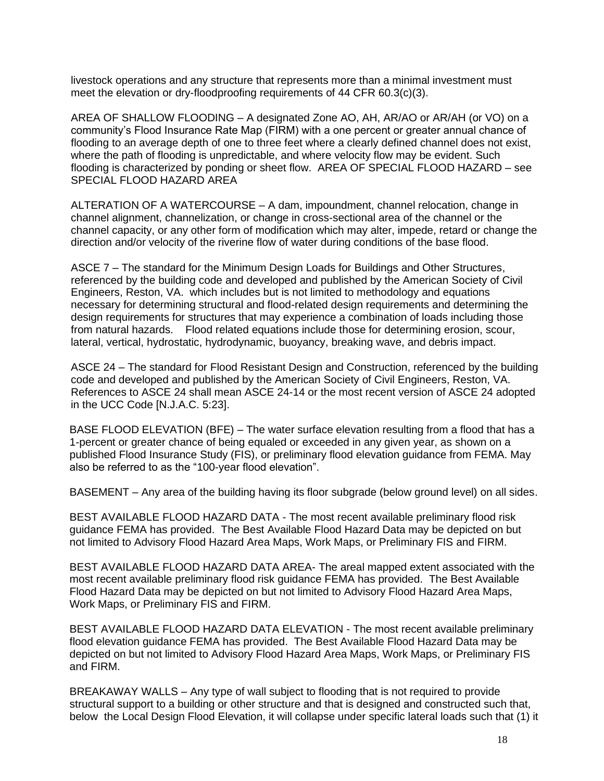livestock operations and any structure that represents more than a minimal investment must meet the elevation or dry-floodproofing requirements of 44 CFR 60.3(c)(3).

AREA OF SHALLOW FLOODING – A designated Zone AO, AH, AR/AO or AR/AH (or VO) on a community's Flood Insurance Rate Map (FIRM) with a one percent or greater annual chance of flooding to an average depth of one to three feet where a clearly defined channel does not exist, where the path of flooding is unpredictable, and where velocity flow may be evident. Such flooding is characterized by ponding or sheet flow. AREA OF SPECIAL FLOOD HAZARD – see SPECIAL FLOOD HAZARD AREA

ALTERATION OF A WATERCOURSE – A dam, impoundment, channel relocation, change in channel alignment, channelization, or change in cross-sectional area of the channel or the channel capacity, or any other form of modification which may alter, impede, retard or change the direction and/or velocity of the riverine flow of water during conditions of the base flood.

ASCE 7 – The standard for the Minimum Design Loads for Buildings and Other Structures, referenced by the building code and developed and published by the American Society of Civil Engineers, Reston, VA. which includes but is not limited to methodology and equations necessary for determining structural and flood-related design requirements and determining the design requirements for structures that may experience a combination of loads including those from natural hazards. Flood related equations include those for determining erosion, scour, lateral, vertical, hydrostatic, hydrodynamic, buoyancy, breaking wave, and debris impact.

ASCE 24 – The standard for Flood Resistant Design and Construction, referenced by the building code and developed and published by the American Society of Civil Engineers, Reston, VA. References to ASCE 24 shall mean ASCE 24-14 or the most recent version of ASCE 24 adopted in the UCC Code [N.J.A.C. 5:23].

BASE FLOOD ELEVATION (BFE) – The water surface elevation resulting from a flood that has a 1-percent or greater chance of being equaled or exceeded in any given year, as shown on a published Flood Insurance Study (FIS), or preliminary flood elevation guidance from FEMA. May also be referred to as the "100-year flood elevation".

BASEMENT – Any area of the building having its floor subgrade (below ground level) on all sides.

BEST AVAILABLE FLOOD HAZARD DATA - The most recent available preliminary flood risk guidance FEMA has provided. The Best Available Flood Hazard Data may be depicted on but not limited to Advisory Flood Hazard Area Maps, Work Maps, or Preliminary FIS and FIRM.

BEST AVAILABLE FLOOD HAZARD DATA AREA- The areal mapped extent associated with the most recent available preliminary flood risk guidance FEMA has provided. The Best Available Flood Hazard Data may be depicted on but not limited to Advisory Flood Hazard Area Maps, Work Maps, or Preliminary FIS and FIRM.

BEST AVAILABLE FLOOD HAZARD DATA ELEVATION - The most recent available preliminary flood elevation guidance FEMA has provided. The Best Available Flood Hazard Data may be depicted on but not limited to Advisory Flood Hazard Area Maps, Work Maps, or Preliminary FIS and FIRM.

BREAKAWAY WALLS – Any type of wall subject to flooding that is not required to provide structural support to a building or other structure and that is designed and constructed such that, below the Local Design Flood Elevation, it will collapse under specific lateral loads such that (1) it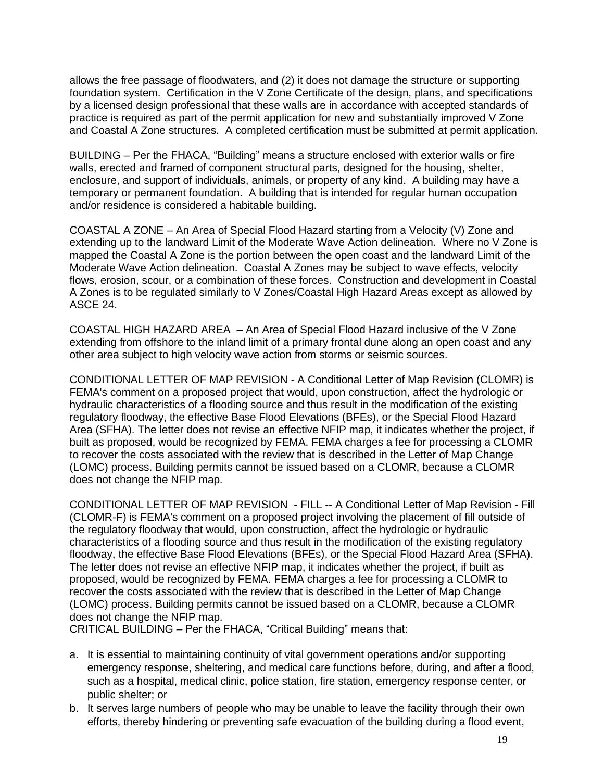allows the free passage of floodwaters, and (2) it does not damage the structure or supporting foundation system. Certification in the V Zone Certificate of the design, plans, and specifications by a licensed design professional that these walls are in accordance with accepted standards of practice is required as part of the permit application for new and substantially improved V Zone and Coastal A Zone structures. A completed certification must be submitted at permit application.

BUILDING – Per the FHACA, "Building" means a structure enclosed with exterior walls or fire walls, erected and framed of component structural parts, designed for the housing, shelter, enclosure, and support of individuals, animals, or property of any kind. A building may have a temporary or permanent foundation. A building that is intended for regular human occupation and/or residence is considered a habitable building.

COASTAL A ZONE – An Area of Special Flood Hazard starting from a Velocity (V) Zone and extending up to the landward Limit of the Moderate Wave Action delineation. Where no V Zone is mapped the Coastal A Zone is the portion between the open coast and the landward Limit of the Moderate Wave Action delineation. Coastal A Zones may be subject to wave effects, velocity flows, erosion, scour, or a combination of these forces. Construction and development in Coastal A Zones is to be regulated similarly to V Zones/Coastal High Hazard Areas except as allowed by ASCE 24.

COASTAL HIGH HAZARD AREA – An Area of Special Flood Hazard inclusive of the V Zone extending from offshore to the inland limit of a primary frontal dune along an open coast and any other area subject to high velocity wave action from storms or seismic sources.

CONDITIONAL LETTER OF MAP REVISION - A Conditional Letter of Map Revision (CLOMR) is FEMA's comment on a proposed project that would, upon construction, affect the hydrologic or hydraulic characteristics of a flooding source and thus result in the modification of the existing regulatory floodway, the effective Base Flood Elevations (BFEs), or the Special Flood Hazard Area (SFHA). The letter does not revise an effective NFIP map, it indicates whether the project, if built as proposed, would be recognized by FEMA. FEMA charges a fee for processing a CLOMR to recover the costs associated with the review that is described in the Letter of Map Change (LOMC) process. Building permits cannot be issued based on a CLOMR, because a CLOMR does not change the NFIP map.

CONDITIONAL LETTER OF MAP REVISION - FILL -- A Conditional Letter of Map Revision - Fill (CLOMR-F) is FEMA's comment on a proposed project involving the placement of fill outside of the regulatory floodway that would, upon construction, affect the hydrologic or hydraulic characteristics of a flooding source and thus result in the modification of the existing regulatory floodway, the effective Base Flood Elevations (BFEs), or the Special Flood Hazard Area (SFHA). The letter does not revise an effective NFIP map, it indicates whether the project, if built as proposed, would be recognized by FEMA. FEMA charges a fee for processing a CLOMR to recover the costs associated with the review that is described in the Letter of Map Change (LOMC) process. Building permits cannot be issued based on a CLOMR, because a CLOMR does not change the NFIP map.

CRITICAL BUILDING – Per the FHACA, "Critical Building" means that:

- a. It is essential to maintaining continuity of vital government operations and/or supporting emergency response, sheltering, and medical care functions before, during, and after a flood, such as a hospital, medical clinic, police station, fire station, emergency response center, or public shelter; or
- b. It serves large numbers of people who may be unable to leave the facility through their own efforts, thereby hindering or preventing safe evacuation of the building during a flood event,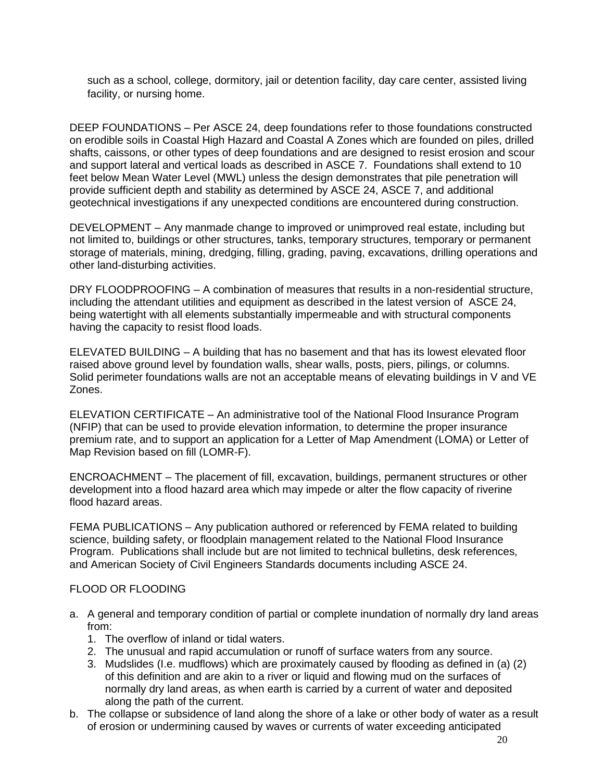such as a school, college, dormitory, jail or detention facility, day care center, assisted living facility, or nursing home.

DEEP FOUNDATIONS – Per ASCE 24, deep foundations refer to those foundations constructed on erodible soils in Coastal High Hazard and Coastal A Zones which are founded on piles, drilled shafts, caissons, or other types of deep foundations and are designed to resist erosion and scour and support lateral and vertical loads as described in ASCE 7. Foundations shall extend to 10 feet below Mean Water Level (MWL) unless the design demonstrates that pile penetration will provide sufficient depth and stability as determined by ASCE 24, ASCE 7, and additional geotechnical investigations if any unexpected conditions are encountered during construction.

DEVELOPMENT – Any manmade change to improved or unimproved real estate, including but not limited to, buildings or other structures, tanks, temporary structures, temporary or permanent storage of materials, mining, dredging, filling, grading, paving, excavations, drilling operations and other land-disturbing activities.

DRY FLOODPROOFING – A combination of measures that results in a non-residential structure, including the attendant utilities and equipment as described in the latest version of ASCE 24, being watertight with all elements substantially impermeable and with structural components having the capacity to resist flood loads.

ELEVATED BUILDING – A building that has no basement and that has its lowest elevated floor raised above ground level by foundation walls, shear walls, posts, piers, pilings, or columns. Solid perimeter foundations walls are not an acceptable means of elevating buildings in V and VE Zones.

ELEVATION CERTIFICATE – An administrative tool of the National Flood Insurance Program (NFIP) that can be used to provide elevation information, to determine the proper insurance premium rate, and to support an application for a Letter of Map Amendment (LOMA) or Letter of Map Revision based on fill (LOMR-F).

ENCROACHMENT – The placement of fill, excavation, buildings, permanent structures or other development into a flood hazard area which may impede or alter the flow capacity of riverine flood hazard areas.

FEMA PUBLICATIONS – Any publication authored or referenced by FEMA related to building science, building safety, or floodplain management related to the National Flood Insurance Program. Publications shall include but are not limited to technical bulletins, desk references, and American Society of Civil Engineers Standards documents including ASCE 24.

#### FLOOD OR FLOODING

- a. A general and temporary condition of partial or complete inundation of normally dry land areas from:
	- 1. The overflow of inland or tidal waters.
	- 2. The unusual and rapid accumulation or runoff of surface waters from any source.
	- 3. Mudslides (I.e. mudflows) which are proximately caused by flooding as defined in (a) (2) of this definition and are akin to a river or liquid and flowing mud on the surfaces of normally dry land areas, as when earth is carried by a current of water and deposited along the path of the current.
- b. The collapse or subsidence of land along the shore of a lake or other body of water as a result of erosion or undermining caused by waves or currents of water exceeding anticipated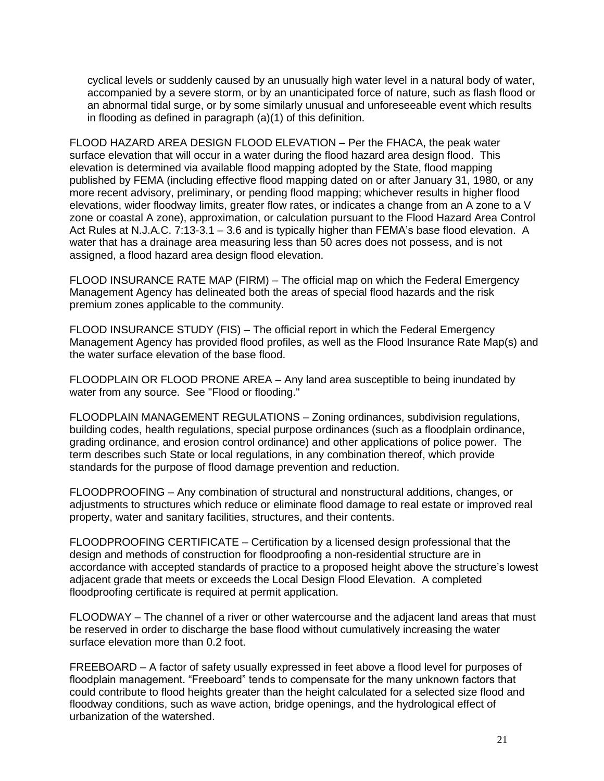cyclical levels or suddenly caused by an unusually high water level in a natural body of water, accompanied by a severe storm, or by an unanticipated force of nature, such as flash flood or an abnormal tidal surge, or by some similarly unusual and unforeseeable event which results in flooding as defined in paragraph (a)(1) of this definition.

FLOOD HAZARD AREA DESIGN FLOOD ELEVATION – Per the FHACA, the peak water surface elevation that will occur in a water during the flood hazard area design flood. This elevation is determined via available flood mapping adopted by the State, flood mapping published by FEMA (including effective flood mapping dated on or after January 31, 1980, or any more recent advisory, preliminary, or pending flood mapping; whichever results in higher flood elevations, wider floodway limits, greater flow rates, or indicates a change from an A zone to a V zone or coastal A zone), approximation, or calculation pursuant to the Flood Hazard Area Control Act Rules at N.J.A.C. 7:13-3.1 – 3.6 and is typically higher than FEMA's base flood elevation. A water that has a drainage area measuring less than 50 acres does not possess, and is not assigned, a flood hazard area design flood elevation.

FLOOD INSURANCE RATE MAP (FIRM) – The official map on which the Federal Emergency Management Agency has delineated both the areas of special flood hazards and the risk premium zones applicable to the community.

FLOOD INSURANCE STUDY (FIS) – The official report in which the Federal Emergency Management Agency has provided flood profiles, as well as the Flood Insurance Rate Map(s) and the water surface elevation of the base flood.

FLOODPLAIN OR FLOOD PRONE AREA – Any land area susceptible to being inundated by water from any source. See "Flood or flooding."

FLOODPLAIN MANAGEMENT REGULATIONS – Zoning ordinances, subdivision regulations, building codes, health regulations, special purpose ordinances (such as a floodplain ordinance, grading ordinance, and erosion control ordinance) and other applications of police power. The term describes such State or local regulations, in any combination thereof, which provide standards for the purpose of flood damage prevention and reduction.

FLOODPROOFING – Any combination of structural and nonstructural additions, changes, or adjustments to structures which reduce or eliminate flood damage to real estate or improved real property, water and sanitary facilities, structures, and their contents.

FLOODPROOFING CERTIFICATE – Certification by a licensed design professional that the design and methods of construction for floodproofing a non-residential structure are in accordance with accepted standards of practice to a proposed height above the structure's lowest adjacent grade that meets or exceeds the Local Design Flood Elevation. A completed floodproofing certificate is required at permit application.

FLOODWAY – The channel of a river or other watercourse and the adjacent land areas that must be reserved in order to discharge the base flood without cumulatively increasing the water surface elevation more than 0.2 foot.

FREEBOARD – A factor of safety usually expressed in feet above a flood level for purposes of floodplain management. "Freeboard" tends to compensate for the many unknown factors that could contribute to flood heights greater than the height calculated for a selected size flood and floodway conditions, such as wave action, bridge openings, and the hydrological effect of urbanization of the watershed.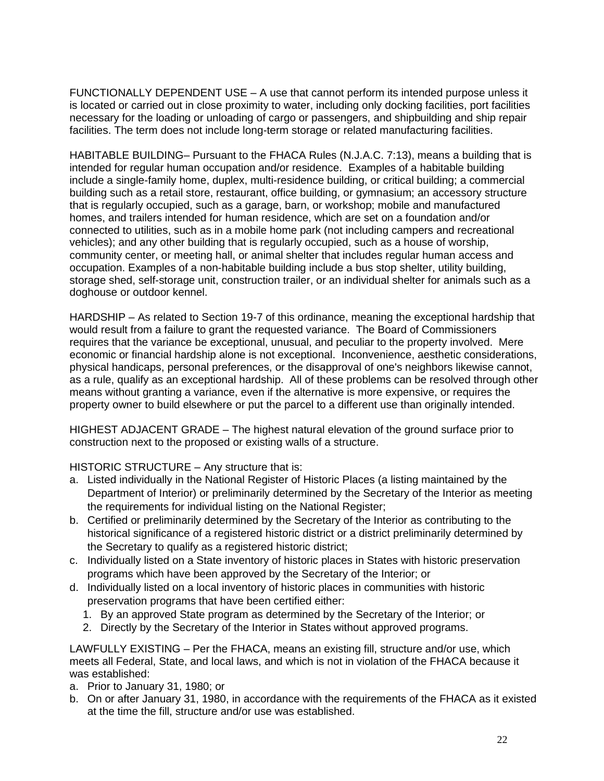FUNCTIONALLY DEPENDENT USE – A use that cannot perform its intended purpose unless it is located or carried out in close proximity to water, including only docking facilities, port facilities necessary for the loading or unloading of cargo or passengers, and shipbuilding and ship repair facilities. The term does not include long-term storage or related manufacturing facilities.

HABITABLE BUILDING– Pursuant to the FHACA Rules (N.J.A.C. 7:13), means a building that is intended for regular human occupation and/or residence. Examples of a habitable building include a single-family home, duplex, multi-residence building, or critical building; a commercial building such as a retail store, restaurant, office building, or gymnasium; an accessory structure that is regularly occupied, such as a garage, barn, or workshop; mobile and manufactured homes, and trailers intended for human residence, which are set on a foundation and/or connected to utilities, such as in a mobile home park (not including campers and recreational vehicles); and any other building that is regularly occupied, such as a house of worship, community center, or meeting hall, or animal shelter that includes regular human access and occupation. Examples of a non-habitable building include a bus stop shelter, utility building, storage shed, self-storage unit, construction trailer, or an individual shelter for animals such as a doghouse or outdoor kennel.

HARDSHIP – As related to Section 19-7 of this ordinance, meaning the exceptional hardship that would result from a failure to grant the requested variance. The Board of Commissioners requires that the variance be exceptional, unusual, and peculiar to the property involved. Mere economic or financial hardship alone is not exceptional. Inconvenience, aesthetic considerations, physical handicaps, personal preferences, or the disapproval of one's neighbors likewise cannot, as a rule, qualify as an exceptional hardship. All of these problems can be resolved through other means without granting a variance, even if the alternative is more expensive, or requires the property owner to build elsewhere or put the parcel to a different use than originally intended.

HIGHEST ADJACENT GRADE – The highest natural elevation of the ground surface prior to construction next to the proposed or existing walls of a structure.

HISTORIC STRUCTURE – Any structure that is:

- a. Listed individually in the National Register of Historic Places (a listing maintained by the Department of Interior) or preliminarily determined by the Secretary of the Interior as meeting the requirements for individual listing on the National Register;
- b. Certified or preliminarily determined by the Secretary of the Interior as contributing to the historical significance of a registered historic district or a district preliminarily determined by the Secretary to qualify as a registered historic district;
- c. Individually listed on a State inventory of historic places in States with historic preservation programs which have been approved by the Secretary of the Interior; or
- d. Individually listed on a local inventory of historic places in communities with historic preservation programs that have been certified either:
	- 1. By an approved State program as determined by the Secretary of the Interior; or
	- 2. Directly by the Secretary of the Interior in States without approved programs.

LAWFULLY EXISTING – Per the FHACA, means an existing fill, structure and/or use, which meets all Federal, State, and local laws, and which is not in violation of the FHACA because it was established:

- a. Prior to January 31, 1980; or
- b. On or after January 31, 1980, in accordance with the requirements of the FHACA as it existed at the time the fill, structure and/or use was established.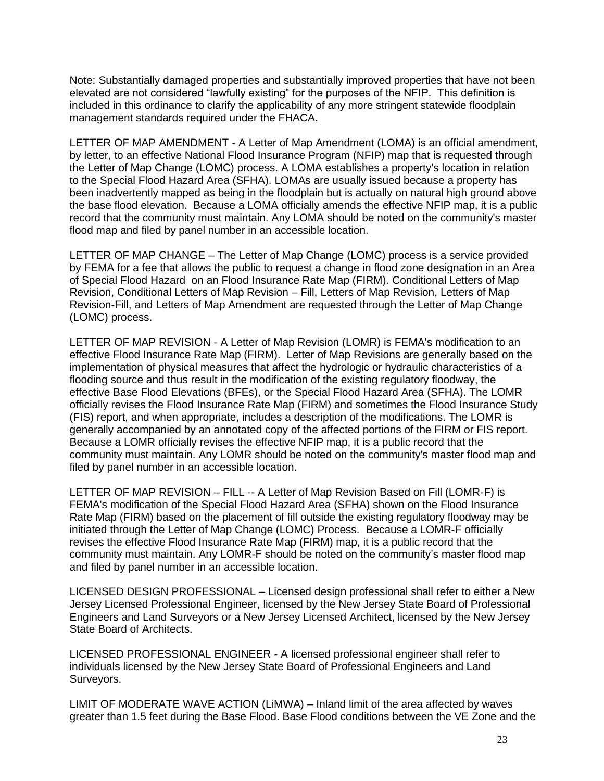Note: Substantially damaged properties and substantially improved properties that have not been elevated are not considered "lawfully existing" for the purposes of the NFIP. This definition is included in this ordinance to clarify the applicability of any more stringent statewide floodplain management standards required under the FHACA.

LETTER OF MAP AMENDMENT - A Letter of Map Amendment (LOMA) is an official amendment, by letter, to an effective National Flood Insurance Program (NFIP) map that is requested through the Letter of Map Change (LOMC) process. A LOMA establishes a property's location in relation to the Special Flood Hazard Area (SFHA). LOMAs are usually issued because a property has been inadvertently mapped as being in the floodplain but is actually on natural high ground above the base flood elevation. Because a LOMA officially amends the effective NFIP map, it is a public record that the community must maintain. Any LOMA should be noted on the community's master flood map and filed by panel number in an accessible location.

LETTER OF MAP CHANGE – The Letter of Map Change (LOMC) process is a service provided by FEMA for a fee that allows the public to request a change in flood zone designation in an Area of Special Flood Hazard on an Flood Insurance Rate Map (FIRM). Conditional Letters of Map Revision, Conditional Letters of Map Revision – Fill, Letters of Map Revision, Letters of Map Revision-Fill, and Letters of Map Amendment are requested through the Letter of Map Change (LOMC) process.

LETTER OF MAP REVISION - A Letter of Map Revision (LOMR) is FEMA's modification to an effective Flood Insurance Rate Map (FIRM). Letter of Map Revisions are generally based on the implementation of physical measures that affect the hydrologic or hydraulic characteristics of a flooding source and thus result in the modification of the existing regulatory floodway, the effective Base Flood Elevations (BFEs), or the Special Flood Hazard Area (SFHA). The LOMR officially revises the Flood Insurance Rate Map (FIRM) and sometimes the Flood Insurance Study (FIS) report, and when appropriate, includes a description of the modifications. The LOMR is generally accompanied by an annotated copy of the affected portions of the FIRM or FIS report. Because a LOMR officially revises the effective NFIP map, it is a public record that the community must maintain. Any LOMR should be noted on the community's master flood map and filed by panel number in an accessible location.

LETTER OF MAP REVISION – FILL -- A Letter of Map Revision Based on Fill (LOMR-F) is FEMA's modification of the Special Flood Hazard Area (SFHA) shown on the Flood Insurance Rate Map (FIRM) based on the placement of fill outside the existing regulatory floodway may be initiated through the Letter of Map Change (LOMC) Process. Because a LOMR-F officially revises the effective Flood Insurance Rate Map (FIRM) map, it is a public record that the community must maintain. Any LOMR-F should be noted on the community's master flood map and filed by panel number in an accessible location.

LICENSED DESIGN PROFESSIONAL – Licensed design professional shall refer to either a New Jersey Licensed Professional Engineer, licensed by the New Jersey State Board of Professional Engineers and Land Surveyors or a New Jersey Licensed Architect, licensed by the New Jersey State Board of Architects.

LICENSED PROFESSIONAL ENGINEER - A licensed professional engineer shall refer to individuals licensed by the New Jersey State Board of Professional Engineers and Land Surveyors.

LIMIT OF MODERATE WAVE ACTION (LiMWA) – Inland limit of the area affected by waves greater than 1.5 feet during the Base Flood. Base Flood conditions between the VE Zone and the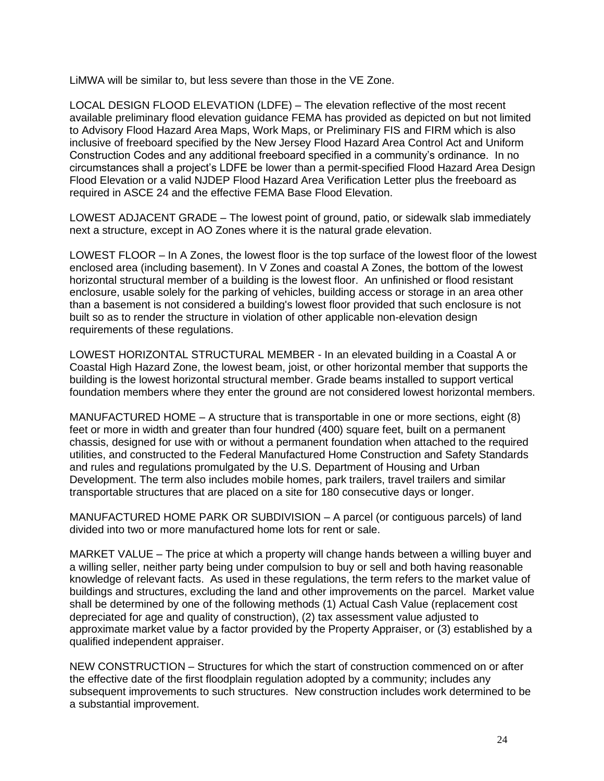LiMWA will be similar to, but less severe than those in the VE Zone.

LOCAL DESIGN FLOOD ELEVATION (LDFE) – The elevation reflective of the most recent available preliminary flood elevation guidance FEMA has provided as depicted on but not limited to Advisory Flood Hazard Area Maps, Work Maps, or Preliminary FIS and FIRM which is also inclusive of freeboard specified by the New Jersey Flood Hazard Area Control Act and Uniform Construction Codes and any additional freeboard specified in a community's ordinance. In no circumstances shall a project's LDFE be lower than a permit-specified Flood Hazard Area Design Flood Elevation or a valid NJDEP Flood Hazard Area Verification Letter plus the freeboard as required in ASCE 24 and the effective FEMA Base Flood Elevation.

LOWEST ADJACENT GRADE – The lowest point of ground, patio, or sidewalk slab immediately next a structure, except in AO Zones where it is the natural grade elevation.

LOWEST FLOOR – In A Zones, the lowest floor is the top surface of the lowest floor of the lowest enclosed area (including basement). In V Zones and coastal A Zones, the bottom of the lowest horizontal structural member of a building is the lowest floor. An unfinished or flood resistant enclosure, usable solely for the parking of vehicles, building access or storage in an area other than a basement is not considered a building's lowest floor provided that such enclosure is not built so as to render the structure in violation of other applicable non-elevation design requirements of these regulations.

LOWEST HORIZONTAL STRUCTURAL MEMBER - In an elevated building in a Coastal A or Coastal High Hazard Zone, the lowest beam, joist, or other horizontal member that supports the building is the lowest horizontal structural member. Grade beams installed to support vertical foundation members where they enter the ground are not considered lowest horizontal members.

MANUFACTURED HOME – A structure that is transportable in one or more sections, eight (8) feet or more in width and greater than four hundred (400) square feet, built on a permanent chassis, designed for use with or without a permanent foundation when attached to the required utilities, and constructed to the Federal Manufactured Home Construction and Safety Standards and rules and regulations promulgated by the U.S. Department of Housing and Urban Development. The term also includes mobile homes, park trailers, travel trailers and similar transportable structures that are placed on a site for 180 consecutive days or longer.

MANUFACTURED HOME PARK OR SUBDIVISION – A parcel (or contiguous parcels) of land divided into two or more manufactured home lots for rent or sale.

MARKET VALUE – The price at which a property will change hands between a willing buyer and a willing seller, neither party being under compulsion to buy or sell and both having reasonable knowledge of relevant facts. As used in these regulations, the term refers to the market value of buildings and structures, excluding the land and other improvements on the parcel. Market value shall be determined by one of the following methods (1) Actual Cash Value (replacement cost depreciated for age and quality of construction), (2) tax assessment value adjusted to approximate market value by a factor provided by the Property Appraiser, or (3) established by a qualified independent appraiser.

NEW CONSTRUCTION – Structures for which the start of construction commenced on or after the effective date of the first floodplain regulation adopted by a community; includes any subsequent improvements to such structures. New construction includes work determined to be a substantial improvement.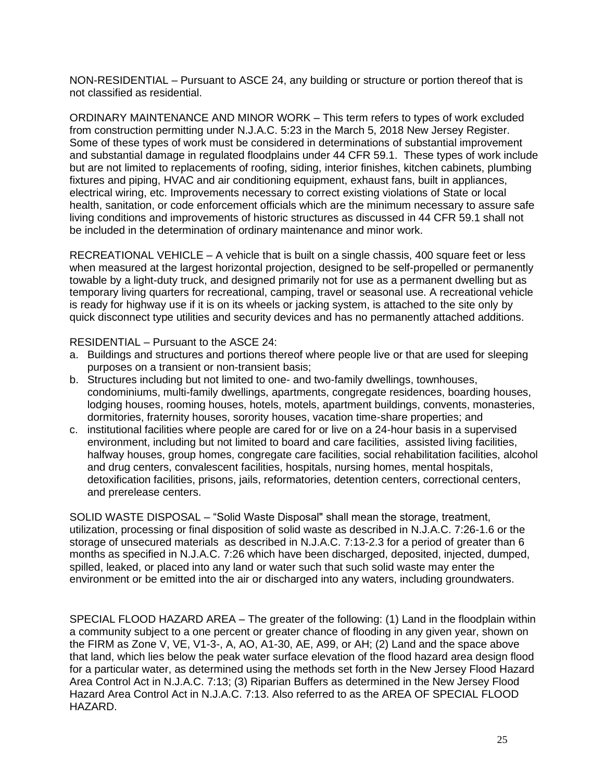NON-RESIDENTIAL – Pursuant to ASCE 24, any building or structure or portion thereof that is not classified as residential.

ORDINARY MAINTENANCE AND MINOR WORK – This term refers to types of work excluded from construction permitting under N.J.A.C. 5:23 in the March 5, 2018 New Jersey Register. Some of these types of work must be considered in determinations of substantial improvement and substantial damage in regulated floodplains under 44 CFR 59.1. These types of work include but are not limited to replacements of roofing, siding, interior finishes, kitchen cabinets, plumbing fixtures and piping, HVAC and air conditioning equipment, exhaust fans, built in appliances, electrical wiring, etc. Improvements necessary to correct existing violations of State or local health, sanitation, or code enforcement officials which are the minimum necessary to assure safe living conditions and improvements of historic structures as discussed in 44 CFR 59.1 shall not be included in the determination of ordinary maintenance and minor work.

RECREATIONAL VEHICLE – A vehicle that is built on a single chassis, 400 square feet or less when measured at the largest horizontal projection, designed to be self-propelled or permanently towable by a light-duty truck, and designed primarily not for use as a permanent dwelling but as temporary living quarters for recreational, camping, travel or seasonal use. A recreational vehicle is ready for highway use if it is on its wheels or jacking system, is attached to the site only by quick disconnect type utilities and security devices and has no permanently attached additions.

RESIDENTIAL – Pursuant to the ASCE 24:

- a. Buildings and structures and portions thereof where people live or that are used for sleeping purposes on a transient or non-transient basis;
- b. Structures including but not limited to one- and two-family dwellings, townhouses, condominiums, multi-family dwellings, apartments, congregate residences, boarding houses, lodging houses, rooming houses, hotels, motels, apartment buildings, convents, monasteries, dormitories, fraternity houses, sorority houses, vacation time-share properties; and
- c. institutional facilities where people are cared for or live on a 24-hour basis in a supervised environment, including but not limited to board and care facilities, assisted living facilities, halfway houses, group homes, congregate care facilities, social rehabilitation facilities, alcohol and drug centers, convalescent facilities, hospitals, nursing homes, mental hospitals, detoxification facilities, prisons, jails, reformatories, detention centers, correctional centers, and prerelease centers.

SOLID WASTE DISPOSAL – "Solid Waste Disposal" shall mean the storage, treatment, utilization, processing or final disposition of solid waste as described in N.J.A.C. 7:26-1.6 or the storage of unsecured materials as described in N.J.A.C. 7:13-2.3 for a period of greater than 6 months as specified in N.J.A.C. 7:26 which have been discharged, deposited, injected, dumped, spilled, leaked, or placed into any land or water such that such solid waste may enter the environment or be emitted into the air or discharged into any waters, including groundwaters.

SPECIAL FLOOD HAZARD AREA – The greater of the following: (1) Land in the floodplain within a community subject to a one percent or greater chance of flooding in any given year, shown on the FIRM as Zone V, VE, V1-3-, A, AO, A1-30, AE, A99, or AH; (2) Land and the space above that land, which lies below the peak water surface elevation of the flood hazard area design flood for a particular water, as determined using the methods set forth in the New Jersey Flood Hazard Area Control Act in N.J.A.C. 7:13; (3) Riparian Buffers as determined in the New Jersey Flood Hazard Area Control Act in N.J.A.C. 7:13. Also referred to as the AREA OF SPECIAL FLOOD HAZARD.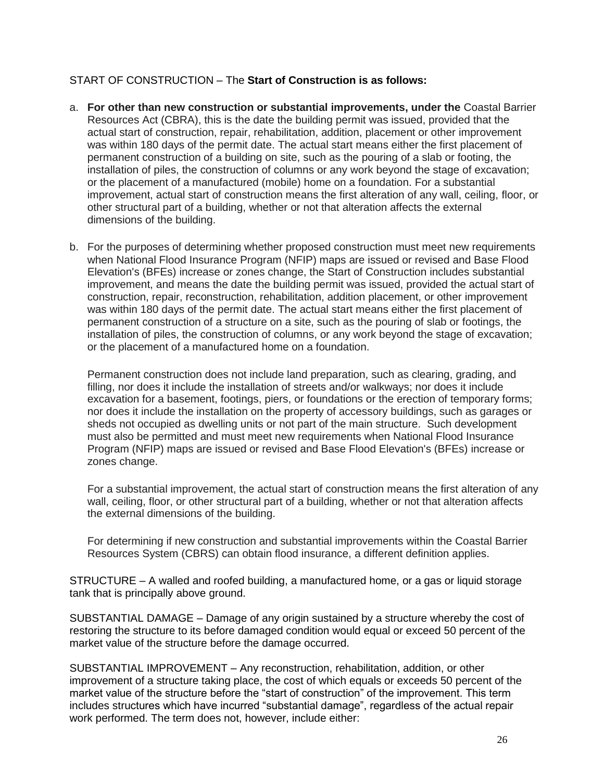# START OF CONSTRUCTION – The **Start of Construction is as follows:**

- a. **For other than new construction or substantial improvements, under the** Coastal Barrier Resources Act (CBRA), this is the date the building permit was issued, provided that the actual start of construction, repair, rehabilitation, addition, placement or other improvement was within 180 days of the permit date. The actual start means either the first placement of permanent construction of a building on site, such as the pouring of a slab or footing, the installation of piles, the construction of columns or any work beyond the stage of excavation; or the placement of a manufactured (mobile) home on a foundation. For a substantial improvement, actual start of construction means the first alteration of any wall, ceiling, floor, or other structural part of a building, whether or not that alteration affects the external dimensions of the building.
- b. For the purposes of determining whether proposed construction must meet new requirements when National Flood Insurance Program (NFIP) maps are issued or revised and Base Flood Elevation's (BFEs) increase or zones change, the Start of Construction includes substantial improvement, and means the date the building permit was issued, provided the actual start of construction, repair, reconstruction, rehabilitation, addition placement, or other improvement was within 180 days of the permit date. The actual start means either the first placement of permanent construction of a structure on a site, such as the pouring of slab or footings, the installation of piles, the construction of columns, or any work beyond the stage of excavation; or the placement of a manufactured home on a foundation.

Permanent construction does not include land preparation, such as clearing, grading, and filling, nor does it include the installation of streets and/or walkways; nor does it include excavation for a basement, footings, piers, or foundations or the erection of temporary forms; nor does it include the installation on the property of accessory buildings, such as garages or sheds not occupied as dwelling units or not part of the main structure. Such development must also be permitted and must meet new requirements when National Flood Insurance Program (NFIP) maps are issued or revised and Base Flood Elevation's (BFEs) increase or zones change.

For a substantial improvement, the actual start of construction means the first alteration of any wall, ceiling, floor, or other structural part of a building, whether or not that alteration affects the external dimensions of the building.

For determining if new construction and substantial improvements within the Coastal Barrier Resources System (CBRS) can obtain flood insurance, a different definition applies.

STRUCTURE – A walled and roofed building, a manufactured home, or a gas or liquid storage tank that is principally above ground.

SUBSTANTIAL DAMAGE – Damage of any origin sustained by a structure whereby the cost of restoring the structure to its before damaged condition would equal or exceed 50 percent of the market value of the structure before the damage occurred.

SUBSTANTIAL IMPROVEMENT – Any reconstruction, rehabilitation, addition, or other improvement of a structure taking place, the cost of which equals or exceeds 50 percent of the market value of the structure before the "start of construction" of the improvement. This term includes structures which have incurred "substantial damage", regardless of the actual repair work performed. The term does not, however, include either: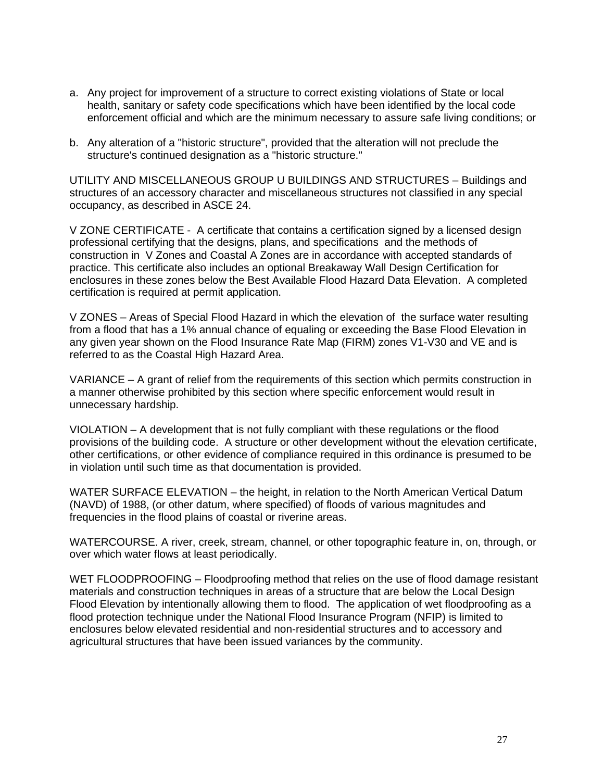- a. Any project for improvement of a structure to correct existing violations of State or local health, sanitary or safety code specifications which have been identified by the local code enforcement official and which are the minimum necessary to assure safe living conditions; or
- b. Any alteration of a "historic structure", provided that the alteration will not preclude the structure's continued designation as a "historic structure."

UTILITY AND MISCELLANEOUS GROUP U BUILDINGS AND STRUCTURES – Buildings and structures of an accessory character and miscellaneous structures not classified in any special occupancy, as described in ASCE 24.

V ZONE CERTIFICATE - A certificate that contains a certification signed by a licensed design professional certifying that the designs, plans, and specifications and the methods of construction in V Zones and Coastal A Zones are in accordance with accepted standards of practice. This certificate also includes an optional Breakaway Wall Design Certification for enclosures in these zones below the Best Available Flood Hazard Data Elevation. A completed certification is required at permit application.

V ZONES – Areas of Special Flood Hazard in which the elevation of the surface water resulting from a flood that has a 1% annual chance of equaling or exceeding the Base Flood Elevation in any given year shown on the Flood Insurance Rate Map (FIRM) zones V1-V30 and VE and is referred to as the Coastal High Hazard Area.

VARIANCE – A grant of relief from the requirements of this section which permits construction in a manner otherwise prohibited by this section where specific enforcement would result in unnecessary hardship.

VIOLATION – A development that is not fully compliant with these regulations or the flood provisions of the building code. A structure or other development without the elevation certificate, other certifications, or other evidence of compliance required in this ordinance is presumed to be in violation until such time as that documentation is provided.

WATER SURFACE ELEVATION – the height, in relation to the North American Vertical Datum (NAVD) of 1988, (or other datum, where specified) of floods of various magnitudes and frequencies in the flood plains of coastal or riverine areas.

WATERCOURSE. A river, creek, stream, channel, or other topographic feature in, on, through, or over which water flows at least periodically.

WET FLOODPROOFING – Floodproofing method that relies on the use of flood damage resistant materials and construction techniques in areas of a structure that are below the Local Design Flood Elevation by intentionally allowing them to flood. The application of wet floodproofing as a flood protection technique under the National Flood Insurance Program (NFIP) is limited to enclosures below elevated residential and non-residential structures and to accessory and agricultural structures that have been issued variances by the community.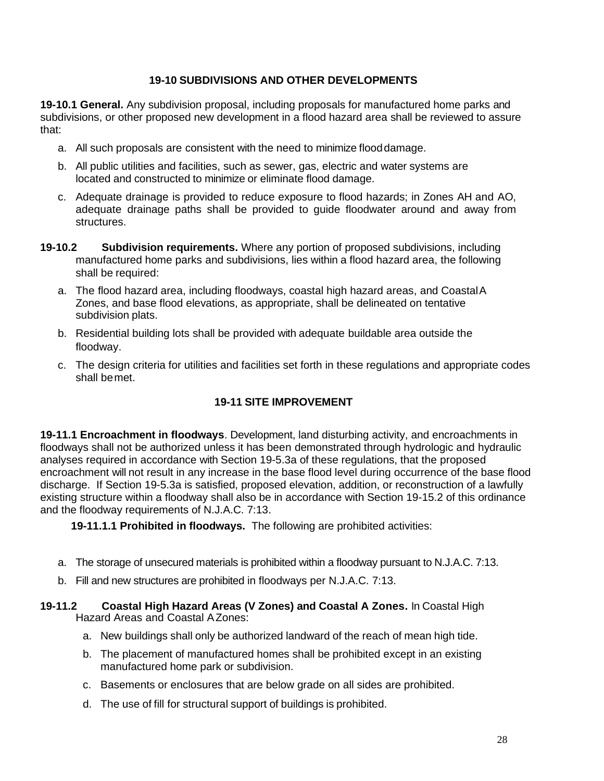# **19-10 SUBDIVISIONS AND OTHER DEVELOPMENTS**

**19-10.1 General.** Any subdivision proposal, including proposals for manufactured home parks and subdivisions, or other proposed new development in a flood hazard area shall be reviewed to assure that:

- a. All such proposals are consistent with the need to minimize flooddamage.
- b. All public utilities and facilities, such as sewer, gas, electric and water systems are located and constructed to minimize or eliminate flood damage.
- c. Adequate drainage is provided to reduce exposure to flood hazards; in Zones AH and AO, adequate drainage paths shall be provided to guide floodwater around and away from structures.
- **19-10.2 Subdivision requirements.** Where any portion of proposed subdivisions, including manufactured home parks and subdivisions, lies within a flood hazard area, the following shall be required:
	- a. The flood hazard area, including floodways, coastal high hazard areas, and CoastalA Zones, and base flood elevations, as appropriate, shall be delineated on tentative subdivision plats.
	- b. Residential building lots shall be provided with adequate buildable area outside the floodway.
	- c. The design criteria for utilities and facilities set forth in these regulations and appropriate codes shall bemet.

# **19-11 SITE IMPROVEMENT**

**19-11.1 Encroachment in floodways**. Development, land disturbing activity, and encroachments in floodways shall not be authorized unless it has been demonstrated through hydrologic and hydraulic analyses required in accordance with Section 19-5.3a of these regulations, that the proposed encroachment will not result in any increase in the base flood level during occurrence of the base flood discharge. If Section 19-5.3a is satisfied, proposed elevation, addition, or reconstruction of a lawfully existing structure within a floodway shall also be in accordance with Section 19-15.2 of this ordinance and the floodway requirements of N.J.A.C. 7:13.

**19-11.1.1 Prohibited in floodways.** The following are prohibited activities:

- a. The storage of unsecured materials is prohibited within a floodway pursuant to N.J.A.C. 7:13.
- b. Fill and new structures are prohibited in floodways per N.J.A.C. 7:13.

### **19-11.2 Coastal High Hazard Areas (V Zones) and Coastal A Zones.** In Coastal High Hazard Areas and Coastal AZones:

- a. New buildings shall only be authorized landward of the reach of mean high tide.
- b. The placement of manufactured homes shall be prohibited except in an existing manufactured home park or subdivision.
- c. Basements or enclosures that are below grade on all sides are prohibited.
- d. The use of fill for structural support of buildings is prohibited.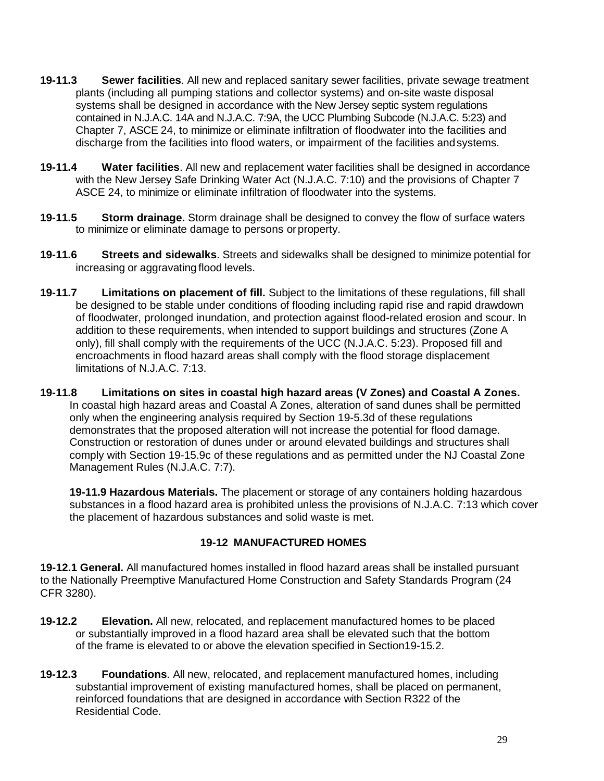- **19-11.3 Sewer facilities**. All new and replaced sanitary sewer facilities, private sewage treatment plants (including all pumping stations and collector systems) and on-site waste disposal systems shall be designed in accordance with the New Jersey septic system regulations contained in N.J.A.C. 14A and N.J.A.C. 7:9A, the UCC Plumbing Subcode (N.J.A.C. 5:23) and Chapter 7, ASCE 24, to minimize or eliminate infiltration of floodwater into the facilities and discharge from the facilities into flood waters, or impairment of the facilities andsystems.
- **19-11.4 Water facilities**. All new and replacement water facilities shall be designed in accordance with the New Jersey Safe Drinking Water Act (N.J.A.C. 7:10) and the provisions of Chapter 7 ASCE 24, to minimize or eliminate infiltration of floodwater into the systems.
- **19-11.5 Storm drainage.** Storm drainage shall be designed to convey the flow of surface waters to minimize or eliminate damage to persons orproperty.
- **19-11.6 Streets and sidewalks**. Streets and sidewalks shall be designed to minimize potential for increasing or aggravating flood levels.
- **19-11.7 Limitations on placement of fill.** Subject to the limitations of these regulations, fill shall be designed to be stable under conditions of flooding including rapid rise and rapid drawdown of floodwater, prolonged inundation, and protection against flood-related erosion and scour. In addition to these requirements, when intended to support buildings and structures (Zone A only), fill shall comply with the requirements of the UCC (N.J.A.C. 5:23). Proposed fill and encroachments in flood hazard areas shall comply with the flood storage displacement limitations of N.J.A.C. 7:13.
- **19-11.8 Limitations on sites in coastal high hazard areas (V Zones) and Coastal A Zones.** In coastal high hazard areas and Coastal A Zones, alteration of sand dunes shall be permitted only when the engineering analysis required by Section 19-5.3d of these regulations demonstrates that the proposed alteration will not increase the potential for flood damage. Construction or restoration of dunes under or around elevated buildings and structures shall comply with Section 19-15.9c of these regulations and as permitted under the NJ Coastal Zone Management Rules (N.J.A.C. 7:7).

**19-11.9 Hazardous Materials.** The placement or storage of any containers holding hazardous substances in a flood hazard area is prohibited unless the provisions of N.J.A.C. 7:13 which cover the placement of hazardous substances and solid waste is met.

## **19-12 MANUFACTURED HOMES**

**19-12.1 General.** All manufactured homes installed in flood hazard areas shall be installed pursuant to the Nationally Preemptive Manufactured Home Construction and Safety Standards Program (24 CFR 3280).

- **19-12.2 Elevation.** All new, relocated, and replacement manufactured homes to be placed or substantially improved in a flood hazard area shall be elevated such that the bottom of the frame is elevated to or above the elevation specified in Section19-15.2.
- **19-12.3 Foundations**. All new, relocated, and replacement manufactured homes, including substantial improvement of existing manufactured homes, shall be placed on permanent, reinforced foundations that are designed in accordance with Section R322 of the Residential Code.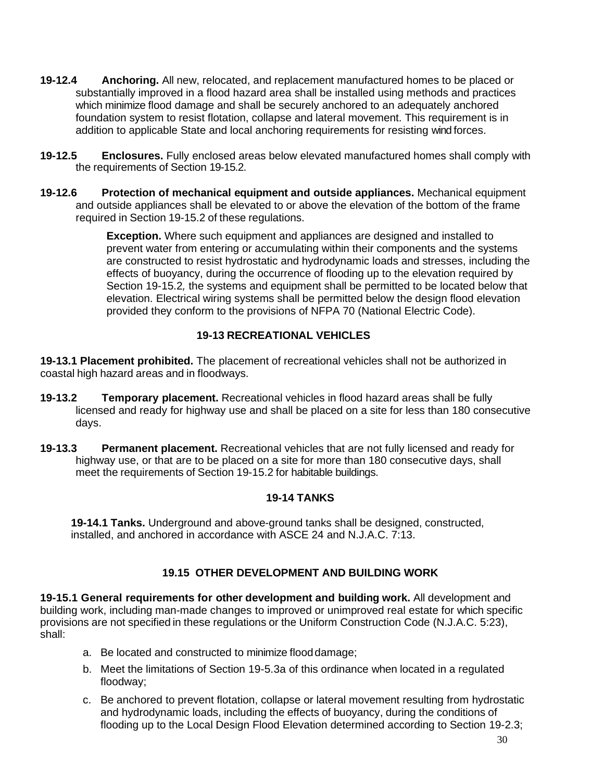- **19-12.4 Anchoring.** All new, relocated, and replacement manufactured homes to be placed or substantially improved in a flood hazard area shall be installed using methods and practices which minimize flood damage and shall be securely anchored to an adequately anchored foundation system to resist flotation, collapse and lateral movement. This requirement is in addition to applicable State and local anchoring requirements for resisting wind forces.
- **19-12.5 Enclosures.** Fully enclosed areas below elevated manufactured homes shall comply with the requirements of Section 19-15.2.
- **19-12.6 Protection of mechanical equipment and outside appliances.** Mechanical equipment and outside appliances shall be elevated to or above the elevation of the bottom of the frame required in Section 19-15.2 of these regulations.

**Exception.** Where such equipment and appliances are designed and installed to prevent water from entering or accumulating within their components and the systems are constructed to resist hydrostatic and hydrodynamic loads and stresses, including the effects of buoyancy, during the occurrence of flooding up to the elevation required by Section 19-15.2*,* the systems and equipment shall be permitted to be located below that elevation. Electrical wiring systems shall be permitted below the design flood elevation provided they conform to the provisions of NFPA 70 (National Electric Code).

# **19-13 RECREATIONAL VEHICLES**

**19-13.1 Placement prohibited.** The placement of recreational vehicles shall not be authorized in coastal high hazard areas and in floodways.

- **19-13.2 Temporary placement.** Recreational vehicles in flood hazard areas shall be fully licensed and ready for highway use and shall be placed on a site for less than 180 consecutive days.
- **19-13.3 Permanent placement.** Recreational vehicles that are not fully licensed and ready for highway use, or that are to be placed on a site for more than 180 consecutive days, shall meet the requirements of Section 19-15.2 for habitable buildings.

## **19-14 TANKS**

**19-14.1 Tanks.** Underground and above-ground tanks shall be designed, constructed, installed, and anchored in accordance with ASCE 24 and N.J.A.C. 7:13.

## **19.15 OTHER DEVELOPMENT AND BUILDING WORK**

**19-15.1 General requirements for other development and building work.** All development and building work, including man-made changes to improved or unimproved real estate for which specific provisions are not specified in these regulations or the Uniform Construction Code (N.J.A.C. 5:23), shall:

- a. Be located and constructed to minimize flooddamage;
- b. Meet the limitations of Section 19-5.3a of this ordinance when located in a regulated floodway;
- c. Be anchored to prevent flotation, collapse or lateral movement resulting from hydrostatic and hydrodynamic loads, including the effects of buoyancy, during the conditions of flooding up to the Local Design Flood Elevation determined according to Section 19-2.3;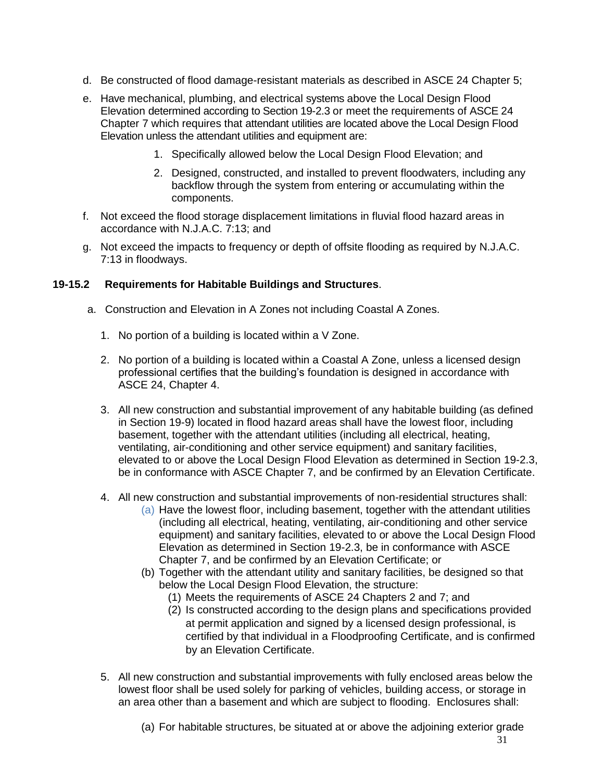- d. Be constructed of flood damage-resistant materials as described in ASCE 24 Chapter 5;
- e. Have mechanical, plumbing, and electrical systems above the Local Design Flood Elevation determined according to Section 19-2.3 or meet the requirements of ASCE 24 Chapter 7 which requires that attendant utilities are located above the Local Design Flood Elevation unless the attendant utilities and equipment are:
	- 1. Specifically allowed below the Local Design Flood Elevation; and
	- 2. Designed, constructed, and installed to prevent floodwaters, including any backflow through the system from entering or accumulating within the components.
- f. Not exceed the flood storage displacement limitations in fluvial flood hazard areas in accordance with N.J.A.C. 7:13; and
- g. Not exceed the impacts to frequency or depth of offsite flooding as required by N.J.A.C. 7:13 in floodways.

## **19-15.2 Requirements for Habitable Buildings and Structures**.

- a. Construction and Elevation in A Zones not including Coastal A Zones.
	- 1. No portion of a building is located within a V Zone.
	- 2. No portion of a building is located within a Coastal A Zone, unless a licensed design professional certifies that the building's foundation is designed in accordance with ASCE 24, Chapter 4.
	- 3. All new construction and substantial improvement of any habitable building (as defined in Section 19-9) located in flood hazard areas shall have the lowest floor, including basement, together with the attendant utilities (including all electrical, heating, ventilating, air-conditioning and other service equipment) and sanitary facilities, elevated to or above the Local Design Flood Elevation as determined in Section 19-2.3, be in conformance with ASCE Chapter 7, and be confirmed by an Elevation Certificate.
	- 4. All new construction and substantial improvements of non-residential structures shall:
		- (a) Have the lowest floor, including basement, together with the attendant utilities (including all electrical, heating, ventilating, air-conditioning and other service equipment) and sanitary facilities, elevated to or above the Local Design Flood Elevation as determined in Section 19-2.3, be in conformance with ASCE Chapter 7, and be confirmed by an Elevation Certificate; or
		- (b) Together with the attendant utility and sanitary facilities, be designed so that below the Local Design Flood Elevation, the structure:
			- (1) Meets the requirements of ASCE 24 Chapters 2 and 7; and
			- (2) Is constructed according to the design plans and specifications provided at permit application and signed by a licensed design professional, is certified by that individual in a Floodproofing Certificate, and is confirmed by an Elevation Certificate.
	- 5. All new construction and substantial improvements with fully enclosed areas below the lowest floor shall be used solely for parking of vehicles, building access, or storage in an area other than a basement and which are subject to flooding. Enclosures shall:

(a) For habitable structures, be situated at or above the adjoining exterior grade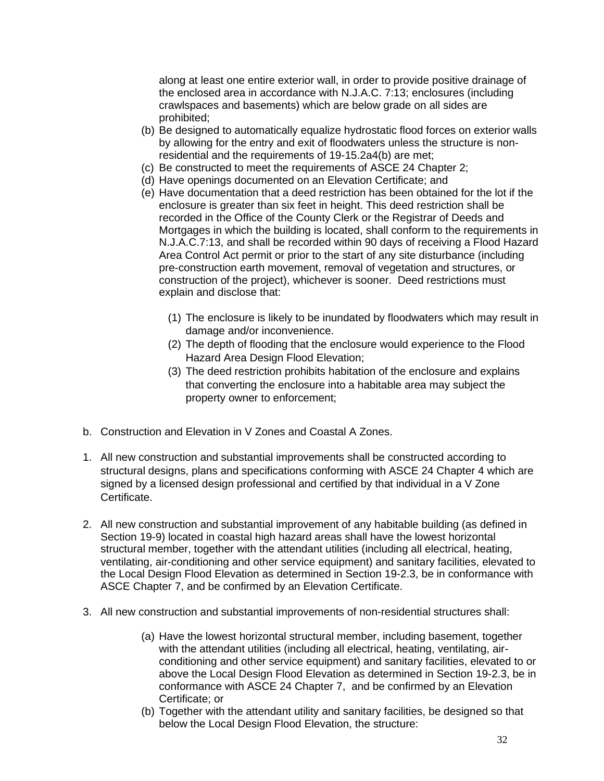along at least one entire exterior wall, in order to provide positive drainage of the enclosed area in accordance with N.J.A.C. 7:13; enclosures (including crawlspaces and basements) which are below grade on all sides are prohibited;

- (b) Be designed to automatically equalize hydrostatic flood forces on exterior walls by allowing for the entry and exit of floodwaters unless the structure is nonresidential and the requirements of 19-15.2a4(b) are met;
- (c) Be constructed to meet the requirements of ASCE 24 Chapter 2;
- (d) Have openings documented on an Elevation Certificate; and
- (e) Have documentation that a deed restriction has been obtained for the lot if the enclosure is greater than six feet in height. This deed restriction shall be recorded in the Office of the County Clerk or the Registrar of Deeds and Mortgages in which the building is located, shall conform to the requirements in N.J.A.C.7:13, and shall be recorded within 90 days of receiving a Flood Hazard Area Control Act permit or prior to the start of any site disturbance (including pre-construction earth movement, removal of vegetation and structures, or construction of the project), whichever is sooner. Deed restrictions must explain and disclose that:
	- (1) The enclosure is likely to be inundated by floodwaters which may result in damage and/or inconvenience.
	- (2) The depth of flooding that the enclosure would experience to the Flood Hazard Area Design Flood Elevation;
	- (3) The deed restriction prohibits habitation of the enclosure and explains that converting the enclosure into a habitable area may subject the property owner to enforcement;
- b. Construction and Elevation in V Zones and Coastal A Zones.
- 1. All new construction and substantial improvements shall be constructed according to structural designs, plans and specifications conforming with ASCE 24 Chapter 4 which are signed by a licensed design professional and certified by that individual in a V Zone Certificate.
- 2. All new construction and substantial improvement of any habitable building (as defined in Section 19-9) located in coastal high hazard areas shall have the lowest horizontal structural member, together with the attendant utilities (including all electrical, heating, ventilating, air-conditioning and other service equipment) and sanitary facilities, elevated to the Local Design Flood Elevation as determined in Section 19-2.3, be in conformance with ASCE Chapter 7, and be confirmed by an Elevation Certificate.
- 3. All new construction and substantial improvements of non-residential structures shall:
	- (a) Have the lowest horizontal structural member, including basement, together with the attendant utilities (including all electrical, heating, ventilating, airconditioning and other service equipment) and sanitary facilities, elevated to or above the Local Design Flood Elevation as determined in Section 19-2.3, be in conformance with ASCE 24 Chapter 7, and be confirmed by an Elevation Certificate; or
	- (b) Together with the attendant utility and sanitary facilities, be designed so that below the Local Design Flood Elevation, the structure: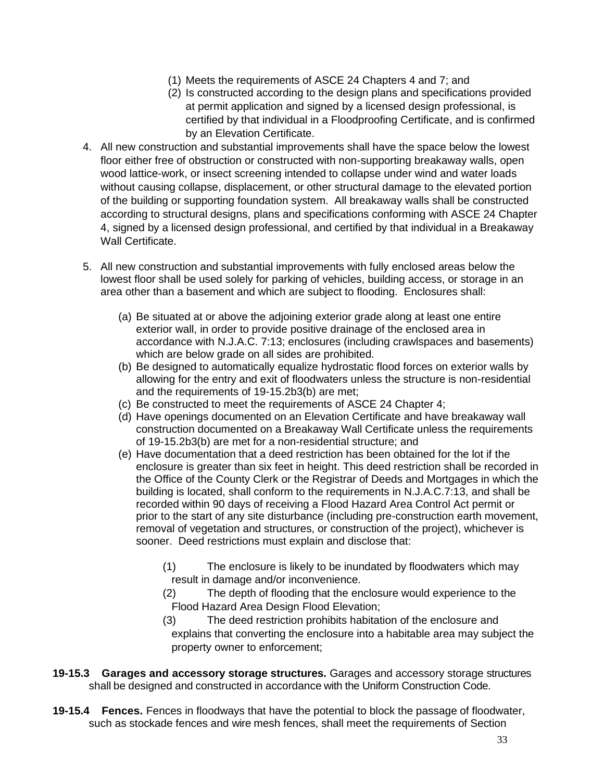- (1) Meets the requirements of ASCE 24 Chapters 4 and 7; and
- (2) Is constructed according to the design plans and specifications provided at permit application and signed by a licensed design professional, is certified by that individual in a Floodproofing Certificate, and is confirmed by an Elevation Certificate.
- 4. All new construction and substantial improvements shall have the space below the lowest floor either free of obstruction or constructed with non-supporting breakaway walls, open wood lattice-work, or insect screening intended to collapse under wind and water loads without causing collapse, displacement, or other structural damage to the elevated portion of the building or supporting foundation system. All breakaway walls shall be constructed according to structural designs, plans and specifications conforming with ASCE 24 Chapter 4, signed by a licensed design professional, and certified by that individual in a Breakaway Wall Certificate.
- 5. All new construction and substantial improvements with fully enclosed areas below the lowest floor shall be used solely for parking of vehicles, building access, or storage in an area other than a basement and which are subject to flooding. Enclosures shall:
	- (a) Be situated at or above the adjoining exterior grade along at least one entire exterior wall, in order to provide positive drainage of the enclosed area in accordance with N.J.A.C. 7:13; enclosures (including crawlspaces and basements) which are below grade on all sides are prohibited.
	- (b) Be designed to automatically equalize hydrostatic flood forces on exterior walls by allowing for the entry and exit of floodwaters unless the structure is non-residential and the requirements of 19-15.2b3(b) are met;
	- (c) Be constructed to meet the requirements of ASCE 24 Chapter 4;
	- (d) Have openings documented on an Elevation Certificate and have breakaway wall construction documented on a Breakaway Wall Certificate unless the requirements of 19-15.2b3(b) are met for a non-residential structure; and
	- (e) Have documentation that a deed restriction has been obtained for the lot if the enclosure is greater than six feet in height. This deed restriction shall be recorded in the Office of the County Clerk or the Registrar of Deeds and Mortgages in which the building is located, shall conform to the requirements in N.J.A.C.7:13, and shall be recorded within 90 days of receiving a Flood Hazard Area Control Act permit or prior to the start of any site disturbance (including pre-construction earth movement, removal of vegetation and structures, or construction of the project), whichever is sooner. Deed restrictions must explain and disclose that:
		- (1) The enclosure is likely to be inundated by floodwaters which may result in damage and/or inconvenience.
		- (2) The depth of flooding that the enclosure would experience to the Flood Hazard Area Design Flood Elevation;
		- (3) The deed restriction prohibits habitation of the enclosure and explains that converting the enclosure into a habitable area may subject the property owner to enforcement;
- **19-15.3 Garages and accessory storage structures.** Garages and accessory storage structures shall be designed and constructed in accordance with the Uniform Construction Code.
- **19-15.4 Fences.** Fences in floodways that have the potential to block the passage of floodwater, such as stockade fences and wire mesh fences, shall meet the requirements of Section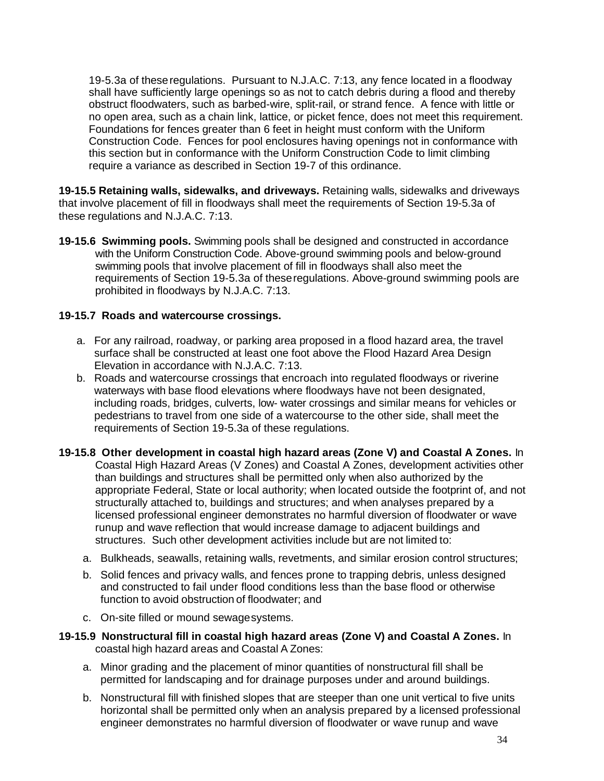19-5.3a of theseregulations. Pursuant to N.J.A.C. 7:13, any fence located in a floodway shall have sufficiently large openings so as not to catch debris during a flood and thereby obstruct floodwaters, such as barbed-wire, split-rail, or strand fence. A fence with little or no open area, such as a chain link, lattice, or picket fence, does not meet this requirement. Foundations for fences greater than 6 feet in height must conform with the Uniform Construction Code. Fences for pool enclosures having openings not in conformance with this section but in conformance with the Uniform Construction Code to limit climbing require a variance as described in Section 19-7 of this ordinance.

**19-15.5 Retaining walls, sidewalks, and driveways.** Retaining walls, sidewalks and driveways that involve placement of fill in floodways shall meet the requirements of Section 19-5.3a of these regulations and N.J.A.C. 7:13.

**19-15.6 Swimming pools.** Swimming pools shall be designed and constructed in accordance with the Uniform Construction Code. Above-ground swimming pools and below-ground swimming pools that involve placement of fill in floodways shall also meet the requirements of Section 19-5.3a of theseregulations. Above-ground swimming pools are prohibited in floodways by N.J.A.C. 7:13.

### **19-15.7 Roads and watercourse crossings.**

- a. For any railroad, roadway, or parking area proposed in a flood hazard area, the travel surface shall be constructed at least one foot above the Flood Hazard Area Design Elevation in accordance with N.J.A.C. 7:13.
- b. Roads and watercourse crossings that encroach into regulated floodways or riverine waterways with base flood elevations where floodways have not been designated, including roads, bridges, culverts, low- water crossings and similar means for vehicles or pedestrians to travel from one side of a watercourse to the other side, shall meet the requirements of Section 19-5.3a of these regulations.
- **19-15.8 Other development in coastal high hazard areas (Zone V) and Coastal A Zones.** In Coastal High Hazard Areas (V Zones) and Coastal A Zones, development activities other than buildings and structures shall be permitted only when also authorized by the appropriate Federal, State or local authority; when located outside the footprint of, and not structurally attached to, buildings and structures; and when analyses prepared by a licensed professional engineer demonstrates no harmful diversion of floodwater or wave runup and wave reflection that would increase damage to adjacent buildings and structures. Such other development activities include but are not limited to:
	- a. Bulkheads, seawalls, retaining walls, revetments, and similar erosion control structures;
	- b. Solid fences and privacy walls, and fences prone to trapping debris, unless designed and constructed to fail under flood conditions less than the base flood or otherwise function to avoid obstruction of floodwater; and
	- c. On-site filled or mound sewagesystems.
- **19-15.9 Nonstructural fill in coastal high hazard areas (Zone V) and Coastal A Zones.** In coastal high hazard areas and Coastal A Zones:
	- a. Minor grading and the placement of minor quantities of nonstructural fill shall be permitted for landscaping and for drainage purposes under and around buildings.
	- b. Nonstructural fill with finished slopes that are steeper than one unit vertical to five units horizontal shall be permitted only when an analysis prepared by a licensed professional engineer demonstrates no harmful diversion of floodwater or wave runup and wave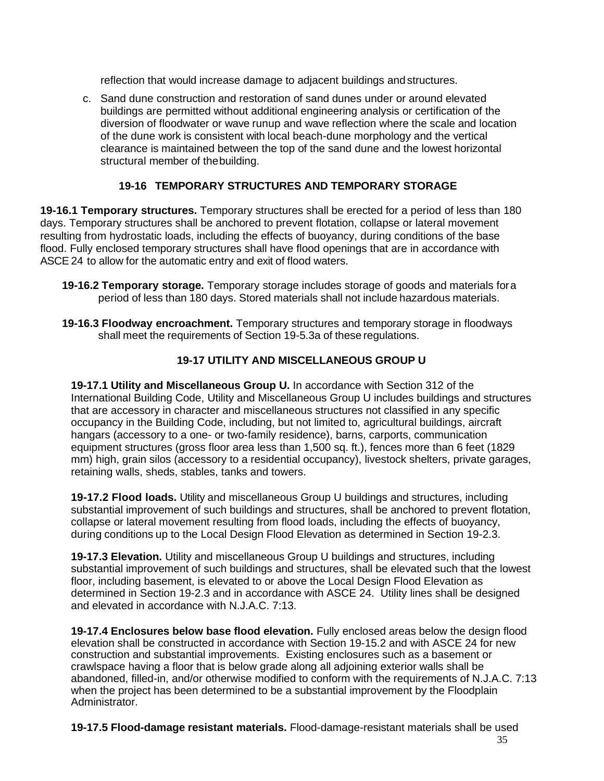reflection that would increase damage to adjacent buildings and structures.

c. Sand dune construction and restoration of sand dunes under or around elevated buildings are permitted without additional engineering analysis or certification of the diversion of floodwater or wave runup and wave reflection where the scale and location of the dune work is consistent with local beach-dune morphology and the vertical clearance is maintained between the top of the sand dune and the lowest horizontal structural member of thebuilding.

# **19-16 TEMPORARY STRUCTURES AND TEMPORARY STORAGE**

**19-16.1 Temporary structures.** Temporary structures shall be erected for a period of less than 180 days. Temporary structures shall be anchored to prevent flotation, collapse or lateral movement resulting from hydrostatic loads, including the effects of buoyancy, during conditions of the base flood. Fully enclosed temporary structures shall have flood openings that are in accordance with ASCE 24 to allow for the automatic entry and exit of flood waters.

- **19-16.2 Temporary storage.** Temporary storage includes storage of goods and materials fora period of less than 180 days. Stored materials shall not include hazardous materials.
- **19-16.3 Floodway encroachment.** Temporary structures and temporary storage in floodways shall meet the requirements of Section 19-5.3a of these regulations.

# **19-17 UTILITY AND MISCELLANEOUS GROUP U**

**19-17.1 Utility and Miscellaneous Group U.** In accordance with Section 312 of the International Building Code, Utility and Miscellaneous Group U includes buildings and structures that are accessory in character and miscellaneous structures not classified in any specific occupancy in the Building Code, including, but not limited to, agricultural buildings, aircraft hangars (accessory to a one- or two-family residence), barns, carports, communication equipment structures (gross floor area less than 1,500 sq. ft.), fences more than 6 feet (1829 mm) high, grain silos (accessory to a residential occupancy), livestock shelters, private garages, retaining walls, sheds, stables, tanks and towers.

**19-17.2 Flood loads.** Utility and miscellaneous Group U buildings and structures, including substantial improvement of such buildings and structures, shall be anchored to prevent flotation, collapse or lateral movement resulting from flood loads, including the effects of buoyancy, during conditions up to the Local Design Flood Elevation as determined in Section 19-2.3.

**19-17.3 Elevation.** Utility and miscellaneous Group U buildings and structures, including substantial improvement of such buildings and structures, shall be elevated such that the lowest floor, including basement, is elevated to or above the Local Design Flood Elevation as determined in Section 19-2.3 and in accordance with ASCE 24. Utility lines shall be designed and elevated in accordance with N.J.A.C. 7:13.

**19-17.4 Enclosures below base flood elevation.** Fully enclosed areas below the design flood elevation shall be constructed in accordance with Section 19-15.2 and with ASCE 24 for new construction and substantial improvements. Existing enclosures such as a basement or crawlspace having a floor that is below grade along all adjoining exterior walls shall be abandoned, filled-in, and/or otherwise modified to conform with the requirements of N.J.A.C. 7:13 when the project has been determined to be a substantial improvement by the Floodplain Administrator.

**19-17.5 Flood-damage resistant materials.** Flood-damage-resistant materials shall be used